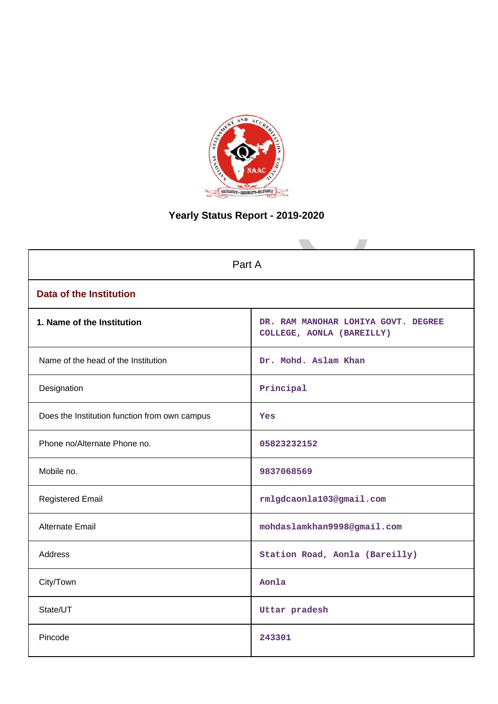

# **Yearly Status Report - 2019-2020**

| Part A                                        |                                                                  |  |  |
|-----------------------------------------------|------------------------------------------------------------------|--|--|
| <b>Data of the Institution</b>                |                                                                  |  |  |
| 1. Name of the Institution                    | DR. RAM MANOHAR LOHIYA GOVT. DEGREE<br>COLLEGE, AONLA (BAREILLY) |  |  |
| Name of the head of the Institution           | Dr. Mohd. Aslam Khan                                             |  |  |
| Designation                                   | Principal                                                        |  |  |
| Does the Institution function from own campus | Yes                                                              |  |  |
| Phone no/Alternate Phone no.                  | 05823232152                                                      |  |  |
| Mobile no.                                    | 9837068569                                                       |  |  |
| <b>Registered Email</b>                       | rmlgdcaonla103@gmail.com                                         |  |  |
| Alternate Email                               | mohdaslamkhan9998@gmail.com                                      |  |  |
| <b>Address</b>                                | Station Road, Aonla (Bareilly)                                   |  |  |
| City/Town                                     | Aonla                                                            |  |  |
| State/UT                                      | Uttar pradesh                                                    |  |  |
| Pincode                                       | 243301                                                           |  |  |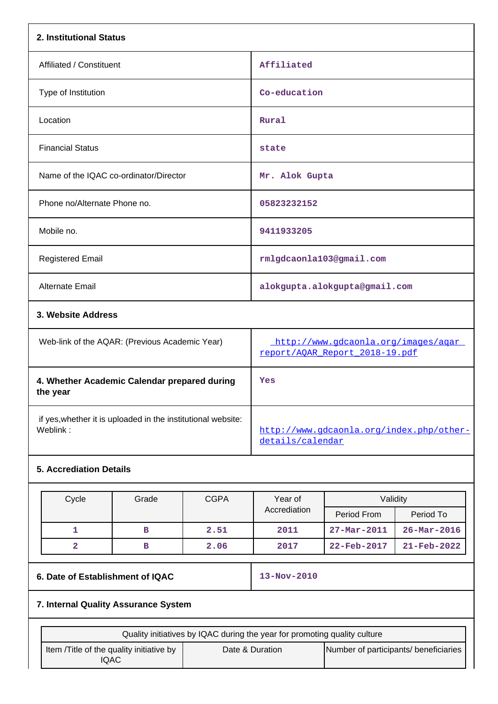| 2. Institutional Status                        |                                                                       |  |  |
|------------------------------------------------|-----------------------------------------------------------------------|--|--|
| Affiliated / Constituent                       | Affiliated                                                            |  |  |
| Type of Institution                            | Co-education                                                          |  |  |
| Location                                       | Rural                                                                 |  |  |
| <b>Financial Status</b>                        | state                                                                 |  |  |
| Name of the IQAC co-ordinator/Director         | Mr. Alok Gupta                                                        |  |  |
| Phone no/Alternate Phone no.                   | 05823232152                                                           |  |  |
| Mobile no.                                     | 9411933205                                                            |  |  |
| <b>Registered Email</b>                        | rmlgdcaonla103@gmail.com                                              |  |  |
| Alternate Email                                | alokgupta.alokgupta@gmail.com                                         |  |  |
| 3. Website Address                             |                                                                       |  |  |
| Web-link of the AQAR: (Previous Academic Year) | http://www.gdcaonla.org/images/agar<br>report/AQAR Report 2018-19.pdf |  |  |
| 4. Whether Academic Calendar prepared during   | Yes                                                                   |  |  |

**the year** if yes,whether it is uploaded in the institutional website: [http://www.gdcaonla.org/index.php/other](http://www.gdcaonla.org/index.php/other-details/calendar)[details/calendar](http://www.gdcaonla.org/index.php/other-details/calendar)

# **5. Accrediation Details**

| Cycle | Grade | <b>CGPA</b> | Year of<br>Accrediation | Validity                 |                          |
|-------|-------|-------------|-------------------------|--------------------------|--------------------------|
|       |       |             |                         | Period From              | Period To                |
|       | в     | 2.51        | 2011                    | $27 - Mar - 2011$        | $26 - \text{Mar} - 2016$ |
|       | в     | 2.06        | 2017                    | $22 - \text{Feb} - 2017$ | $21 - \text{Feb} - 2022$ |

# **6. Date of Establishment of IQAC 13-Nov-2010**

# **7. Internal Quality Assurance System**

| Quality initiatives by IQAC during the year for promoting quality culture |                 |                                       |  |
|---------------------------------------------------------------------------|-----------------|---------------------------------------|--|
| Item / Title of the quality initiative by<br>IQAC                         | Date & Duration | Number of participants/ beneficiaries |  |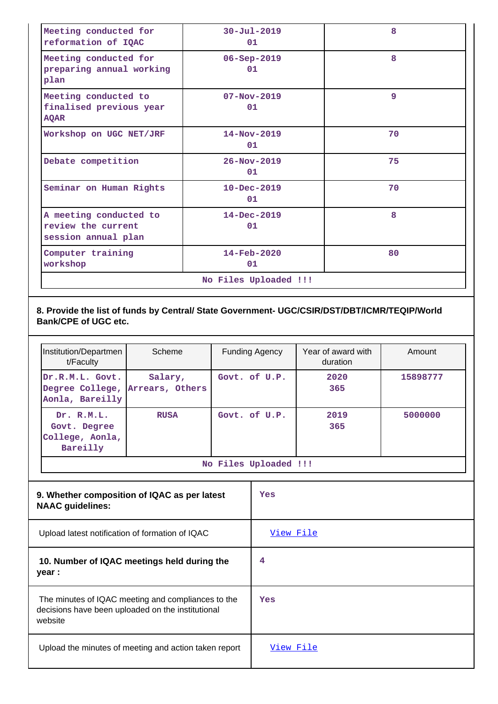| Meeting conducted for<br>reformation of IQAC                        | $30 - Ju1 - 2019$<br>01        | 8  |  |
|---------------------------------------------------------------------|--------------------------------|----|--|
| Meeting conducted for<br>preparing annual working<br>plan           | $06 - Sep - 2019$<br>01        | 8  |  |
| Meeting conducted to<br>finalised previous year<br><b>AQAR</b>      | $07 - Nov - 2019$<br>01        | 9  |  |
| Workshop on UGC NET/JRF                                             | $14 - Nov - 2019$<br>01        | 70 |  |
| Debate competition                                                  | $26 - Nov - 2019$<br>01        | 75 |  |
| Seminar on Human Rights                                             | $10 - Dec - 2019$<br>01        | 70 |  |
| A meeting conducted to<br>review the current<br>session annual plan | 14-Dec-2019<br>01              | 8  |  |
| Computer training<br>workshop                                       | $14 - \text{Feb} - 2020$<br>01 | 80 |  |
| No Files Uploaded !!!                                               |                                |    |  |

### **8. Provide the list of funds by Central/ State Government- UGC/CSIR/DST/DBT/ICMR/TEQIP/World Bank/CPE of UGC etc.**

| Institution/Departmen<br>t/Faculty                        | Scheme                     | <b>Funding Agency</b> | Year of award with<br>duration | Amount   |
|-----------------------------------------------------------|----------------------------|-----------------------|--------------------------------|----------|
| Dr.R.M.L. Govt.<br>Degree College,<br>Aonla, Bareilly     | Salary,<br>Arrears, Others | Govt. of U.P.         | 2020<br>365                    | 15898777 |
| Dr. R.M.L.<br>Govt. Degree<br>College, Aonla,<br>Bareilly | <b>RUSA</b>                | Govt. of U.P.         | 2019<br>365                    | 5000000  |
| No Files Uploaded !!!                                     |                            |                       |                                |          |

| 9. Whether composition of IQAC as per latest<br><b>NAAC</b> guidelines:                                            | Yes       |
|--------------------------------------------------------------------------------------------------------------------|-----------|
| Upload latest notification of formation of IQAC                                                                    | View File |
| 10. Number of IQAC meetings held during the<br>year :                                                              | 4         |
| The minutes of IQAC meeting and compliances to the<br>decisions have been uploaded on the institutional<br>website | Yes       |
| Upload the minutes of meeting and action taken report                                                              | View File |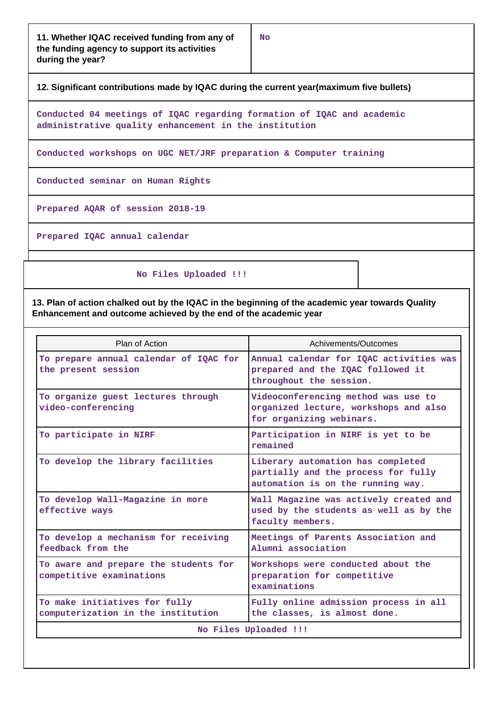#### **12. Significant contributions made by IQAC during the current year(maximum five bullets)**

**Conducted 04 meetings of IQAC regarding formation of IQAC and academic administrative quality enhancement in the institution**

**Conducted workshops on UGC NET/JRF preparation & Computer training**

**Conducted seminar on Human Rights**

**Prepared AQAR of session 2018-19**

**Prepared IQAC annual calendar**

 **No Files Uploaded !!!**

**13. Plan of action chalked out by the IQAC in the beginning of the academic year towards Quality Enhancement and outcome achieved by the end of the academic year**

| Plan of Action                                                      | Achivements/Outcomes                                                                                          |  |  |
|---------------------------------------------------------------------|---------------------------------------------------------------------------------------------------------------|--|--|
| To prepare annual calendar of IQAC for<br>the present session       | Annual calendar for IQAC activities was<br>prepared and the IQAC followed it<br>throughout the session.       |  |  |
| To organize guest lectures through<br>video-conferencing            | Videoconferencing method was use to<br>organized lecture, workshops and also<br>for organizing webinars.      |  |  |
| To participate in NIRF                                              | Participation in NIRF is yet to be<br>remained                                                                |  |  |
| To develop the library facilities                                   | Liberary automation has completed<br>partially and the process for fully<br>automation is on the running way. |  |  |
| To develop Wall-Magazine in more<br>effective ways                  | Wall Magazine was actively created and<br>used by the students as well as by the<br>faculty members.          |  |  |
| To develop a mechanism for receiving<br>feedback from the           | Meetings of Parents Association and<br>Alumni association                                                     |  |  |
| To aware and prepare the students for<br>competitive examinations   | Workshops were conducted about the<br>preparation for competitive<br>examinations                             |  |  |
| To make initiatives for fully<br>computerization in the institution | Fully online admission process in all<br>the classes, is almost done.                                         |  |  |
| No Files Uploaded !!!                                               |                                                                                                               |  |  |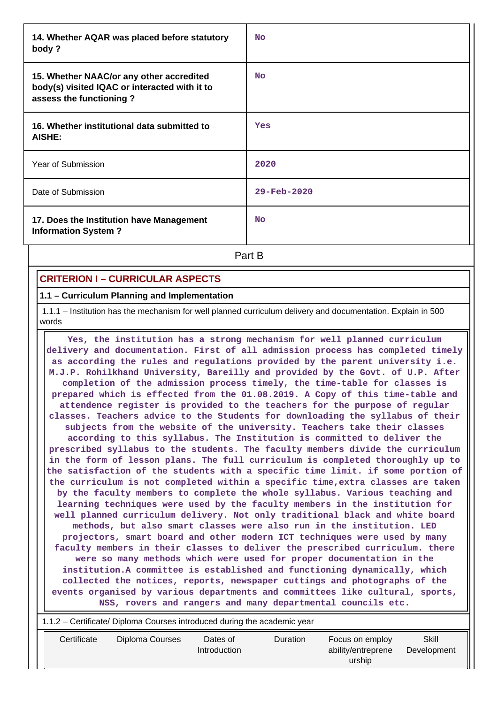| 14. Whether AQAR was placed before statutory<br>body?                                                                | <b>No</b>   |
|----------------------------------------------------------------------------------------------------------------------|-------------|
| 15. Whether NAAC/or any other accredited<br>body(s) visited IQAC or interacted with it to<br>assess the functioning? | <b>No</b>   |
| 16. Whether institutional data submitted to<br>AISHE:                                                                | Yes         |
| Year of Submission                                                                                                   | 2020        |
| Date of Submission                                                                                                   | 29-Feb-2020 |
| 17. Does the Institution have Management<br><b>Information System?</b>                                               | <b>No</b>   |
|                                                                                                                      | Part B      |

## **CRITERION I – CURRICULAR ASPECTS**

#### **1.1 – Curriculum Planning and Implementation**

 1.1.1 – Institution has the mechanism for well planned curriculum delivery and documentation. Explain in 500 words

 **Yes, the institution has a strong mechanism for well planned curriculum delivery and documentation. First of all admission process has completed timely as according the rules and regulations provided by the parent university i.e. M.J.P. Rohilkhand University, Bareilly and provided by the Govt. of U.P. After completion of the admission process timely, the time-table for classes is prepared which is effected from the 01.08.2019. A Copy of this time-table and attendence register is provided to the teachers for the purpose of regular classes. Teachers advice to the Students for downloading the syllabus of their subjects from the website of the university. Teachers take their classes according to this syllabus. The Institution is committed to deliver the prescribed syllabus to the students. The faculty members divide the curriculum in the form of lesson plans. The full curriculum is completed thoroughly up to the satisfaction of the students with a specific time limit. if some portion of the curriculum is not completed within a specific time,extra classes are taken by the faculty members to complete the whole syllabus. Various teaching and learning techniques were used by the faculty members in the institution for well planned curriculum delivery. Not only traditional black and white board methods, but also smart classes were also run in the institution. LED projectors, smart board and other modern ICT techniques were used by many faculty members in their classes to deliver the prescribed curriculum. there were so many methods which were used for proper documentation in the institution.A committee is established and functioning dynamically, which collected the notices, reports, newspaper cuttings and photographs of the events organised by various departments and committees like cultural, sports, NSS, rovers and rangers and many departmental councils etc.**

| 1.1.2 – Certificate/ Diploma Courses introduced during the academic year |                 |                          |                 |                                                 |                      |
|--------------------------------------------------------------------------|-----------------|--------------------------|-----------------|-------------------------------------------------|----------------------|
| Certificate                                                              | Diploma Courses | Dates of<br>Introduction | <b>Duration</b> | Focus on employ<br>ability/entreprene<br>urship | Skill<br>Development |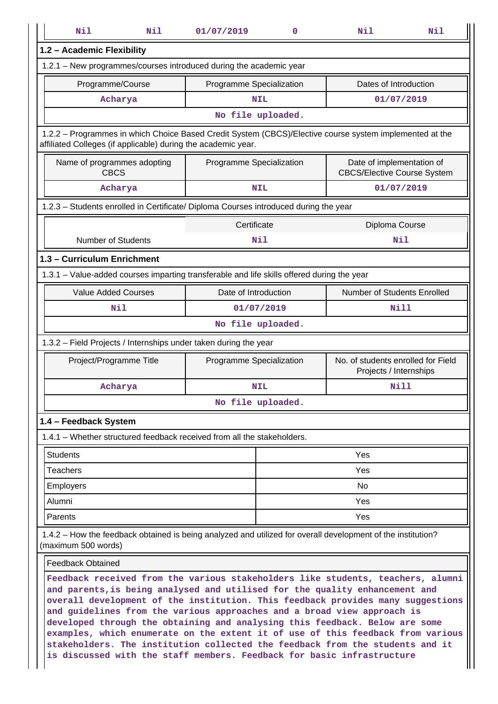| Nil<br>Nil                                                                                                                                                                                                                                                                                                                   | 01/07/2019               | 0                                                                                           | Nil                                                          | Nil  |  |  |  |
|------------------------------------------------------------------------------------------------------------------------------------------------------------------------------------------------------------------------------------------------------------------------------------------------------------------------------|--------------------------|---------------------------------------------------------------------------------------------|--------------------------------------------------------------|------|--|--|--|
| 1.2 - Academic Flexibility                                                                                                                                                                                                                                                                                                   |                          |                                                                                             |                                                              |      |  |  |  |
| 1.2.1 - New programmes/courses introduced during the academic year                                                                                                                                                                                                                                                           |                          |                                                                                             |                                                              |      |  |  |  |
| Programme/Course                                                                                                                                                                                                                                                                                                             |                          | Dates of Introduction<br>Programme Specialization                                           |                                                              |      |  |  |  |
| Acharya                                                                                                                                                                                                                                                                                                                      | <b>NIL</b>               |                                                                                             | 01/07/2019                                                   |      |  |  |  |
| No file uploaded.                                                                                                                                                                                                                                                                                                            |                          |                                                                                             |                                                              |      |  |  |  |
| 1.2.2 - Programmes in which Choice Based Credit System (CBCS)/Elective course system implemented at the<br>affiliated Colleges (if applicable) during the academic year.                                                                                                                                                     |                          |                                                                                             |                                                              |      |  |  |  |
| Name of programmes adopting<br><b>CBCS</b>                                                                                                                                                                                                                                                                                   |                          | Date of implementation of<br>Programme Specialization<br><b>CBCS/Elective Course System</b> |                                                              |      |  |  |  |
| Acharya                                                                                                                                                                                                                                                                                                                      | <b>NIL</b>               |                                                                                             | 01/07/2019                                                   |      |  |  |  |
| 1.2.3 - Students enrolled in Certificate/ Diploma Courses introduced during the year                                                                                                                                                                                                                                         |                          |                                                                                             |                                                              |      |  |  |  |
|                                                                                                                                                                                                                                                                                                                              | Certificate              |                                                                                             | Diploma Course                                               |      |  |  |  |
| <b>Number of Students</b>                                                                                                                                                                                                                                                                                                    | Nil                      |                                                                                             | Nil                                                          |      |  |  |  |
| 1.3 - Curriculum Enrichment                                                                                                                                                                                                                                                                                                  |                          |                                                                                             |                                                              |      |  |  |  |
| 1.3.1 – Value-added courses imparting transferable and life skills offered during the year                                                                                                                                                                                                                                   |                          |                                                                                             |                                                              |      |  |  |  |
| <b>Value Added Courses</b>                                                                                                                                                                                                                                                                                                   |                          | Number of Students Enrolled<br>Date of Introduction                                         |                                                              |      |  |  |  |
| Nil                                                                                                                                                                                                                                                                                                                          |                          | 01/07/2019                                                                                  |                                                              | Nill |  |  |  |
|                                                                                                                                                                                                                                                                                                                              | No file uploaded.        |                                                                                             |                                                              |      |  |  |  |
| 1.3.2 - Field Projects / Internships under taken during the year                                                                                                                                                                                                                                                             |                          |                                                                                             |                                                              |      |  |  |  |
| Project/Programme Title                                                                                                                                                                                                                                                                                                      | Programme Specialization |                                                                                             | No. of students enrolled for Field<br>Projects / Internships |      |  |  |  |
| Acharya                                                                                                                                                                                                                                                                                                                      | <b>NIL</b>               |                                                                                             | <b>Nill</b>                                                  |      |  |  |  |
|                                                                                                                                                                                                                                                                                                                              | No file uploaded.        |                                                                                             |                                                              |      |  |  |  |
| 1.4 - Feedback System                                                                                                                                                                                                                                                                                                        |                          |                                                                                             |                                                              |      |  |  |  |
| 1.4.1 – Whether structured feedback received from all the stakeholders.                                                                                                                                                                                                                                                      |                          |                                                                                             |                                                              |      |  |  |  |
| <b>Students</b>                                                                                                                                                                                                                                                                                                              |                          |                                                                                             | Yes                                                          |      |  |  |  |
| <b>Teachers</b>                                                                                                                                                                                                                                                                                                              |                          |                                                                                             | Yes                                                          |      |  |  |  |
| Employers                                                                                                                                                                                                                                                                                                                    |                          |                                                                                             | No                                                           |      |  |  |  |
| Alumni                                                                                                                                                                                                                                                                                                                       |                          | Yes                                                                                         |                                                              |      |  |  |  |
| Parents                                                                                                                                                                                                                                                                                                                      |                          |                                                                                             | Yes                                                          |      |  |  |  |
| 1.4.2 – How the feedback obtained is being analyzed and utilized for overall development of the institution?<br>(maximum 500 words)                                                                                                                                                                                          |                          |                                                                                             |                                                              |      |  |  |  |
| <b>Feedback Obtained</b>                                                                                                                                                                                                                                                                                                     |                          |                                                                                             |                                                              |      |  |  |  |
| Feedback received from the various stakeholders like students, teachers, alumni<br>and parents, is being analysed and utilised for the quality enhancement and<br>overall development of the institution. This feedback provides many suggestions<br>and quidelines from the various approaches and a broad view approach is |                          |                                                                                             |                                                              |      |  |  |  |

**and guidelines from the various approaches and a broad view approach is developed through the obtaining and analysing this feedback. Below are some examples, which enumerate on the extent it of use of this feedback from various stakeholders. The institution collected the feedback from the students and it is discussed with the staff members. Feedback for basic infrastructure**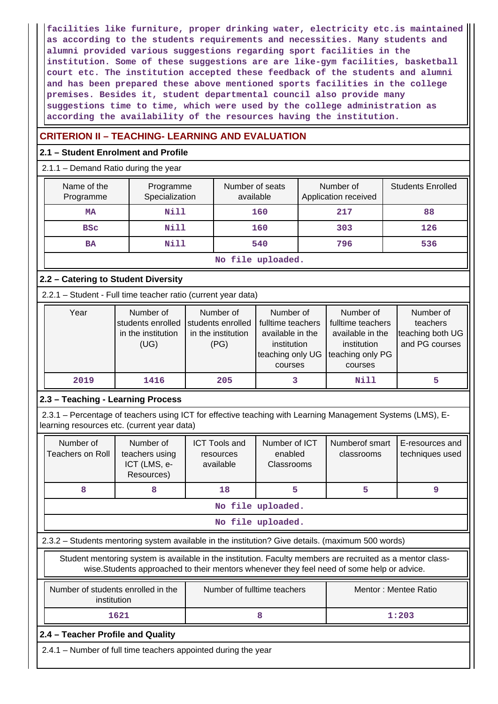**facilities like furniture, proper drinking water, electricity etc.is maintained as according to the students requirements and necessities. Many students and alumni provided various suggestions regarding sport facilities in the institution. Some of these suggestions are are like-gym facilities, basketball court etc. The institution accepted these feedback of the students and alumni and has been prepared these above mentioned sports facilities in the college premises. Besides it, student departmental council also provide many suggestions time to time, which were used by the college administration as according the availability of the resources having the institution.**

## **CRITERION II – TEACHING- LEARNING AND EVALUATION**

#### **2.1 – Student Enrolment and Profile**

#### 2.1.1 – Demand Ratio during the year

| Name of the<br>Programme | Programme<br>Specialization | Number of seats<br>available | Number of<br>Application received | <b>Students Enrolled</b> |  |
|--------------------------|-----------------------------|------------------------------|-----------------------------------|--------------------------|--|
| <b>MA</b>                | Nill                        | 160                          | 217                               | 88                       |  |
| <b>BSC</b>               | Nill                        | 160                          | 303                               | 126                      |  |
| <b>BA</b>                | Nill                        | 540                          | 796                               | 536                      |  |
| No file uploaded.        |                             |                              |                                   |                          |  |

## **2.2 – Catering to Student Diversity**

2.2.1 – Student - Full time teacher ratio (current year data)

| Year | Number of<br>students enrolled<br>in the institution<br>(UG) | Number of<br>students enrolled<br>in the institution<br>(PG) | Number of<br>fulltime teachers<br>available in the<br>institution<br>teaching only UG<br>courses | Number of<br>fulltime teachers<br>available in the<br>institution<br>teaching only PG<br>courses | Number of<br>teachers<br>teaching both UG<br>and PG courses |
|------|--------------------------------------------------------------|--------------------------------------------------------------|--------------------------------------------------------------------------------------------------|--------------------------------------------------------------------------------------------------|-------------------------------------------------------------|
| 2019 | 1416                                                         | 205                                                          | з                                                                                                | Nill                                                                                             |                                                             |

## **2.3 – Teaching - Learning Process**

 2.3.1 – Percentage of teachers using ICT for effective teaching with Learning Management Systems (LMS), Elearning resources etc. (current year data)

|                   | Number of<br>Teachers on Roll                                                                     | Number of<br>teachers using<br>ICT (LMS, e-<br>Resources)                                                                                                                                                | <b>ICT Tools and</b><br>resources<br>available | Number of ICT<br>Numberof smart<br>enabled<br>classrooms<br>Classrooms |                      | E-resources and<br>techniques used |  |  |  |  |  |
|-------------------|---------------------------------------------------------------------------------------------------|----------------------------------------------------------------------------------------------------------------------------------------------------------------------------------------------------------|------------------------------------------------|------------------------------------------------------------------------|----------------------|------------------------------------|--|--|--|--|--|
|                   | 8                                                                                                 | 8                                                                                                                                                                                                        | 18                                             | 5                                                                      | 5                    | 9                                  |  |  |  |  |  |
| No file uploaded. |                                                                                                   |                                                                                                                                                                                                          |                                                |                                                                        |                      |                                    |  |  |  |  |  |
|                   | No file uploaded.                                                                                 |                                                                                                                                                                                                          |                                                |                                                                        |                      |                                    |  |  |  |  |  |
|                   | 2.3.2 - Students mentoring system available in the institution? Give details. (maximum 500 words) |                                                                                                                                                                                                          |                                                |                                                                        |                      |                                    |  |  |  |  |  |
|                   |                                                                                                   | Student mentoring system is available in the institution. Faculty members are recruited as a mentor class-<br>wise. Students approached to their mentors whenever they feel need of some help or advice. |                                                |                                                                        |                      |                                    |  |  |  |  |  |
|                   | institution                                                                                       | Number of students enrolled in the                                                                                                                                                                       | Number of fulltime teachers                    |                                                                        | Mentor: Mentee Ratio |                                    |  |  |  |  |  |
|                   | 1621<br>8<br>1:203                                                                                |                                                                                                                                                                                                          |                                                |                                                                        |                      |                                    |  |  |  |  |  |
|                   | 2.4 - Teacher Profile and Quality                                                                 |                                                                                                                                                                                                          |                                                |                                                                        |                      |                                    |  |  |  |  |  |
|                   |                                                                                                   | 2.4.1 – Number of full time teachers appointed during the year                                                                                                                                           |                                                |                                                                        |                      |                                    |  |  |  |  |  |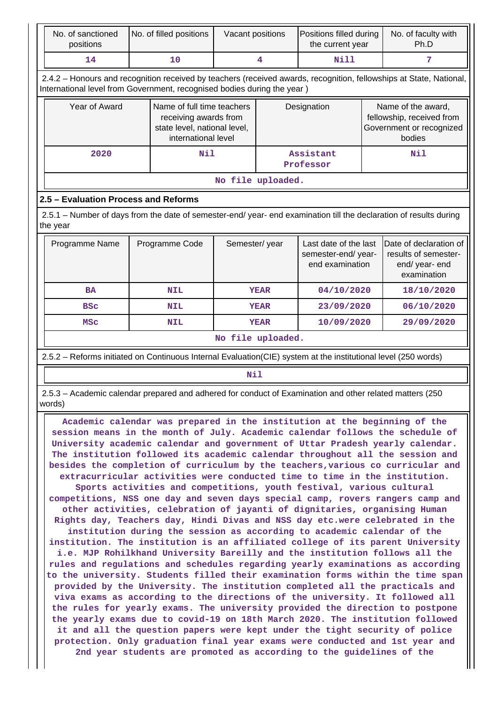| No. of sanctioned<br>positions                                                                                                                                                                                                                                                                                                                                                                                                                                                                                                                                                                                                                                                                                                                                                                                                                                                                                                                                                                                                                                                                                                                                                                                                                                                                                                                                                                                                                                                                                                                                                                                                                                                                                                                                                                                                                                                                                             |                   | No. of filled positions                                                                                    | Vacant positions  |                                                                               | Positions filled during<br>the current year |  | No. of faculty with<br>Ph.D                                                           |  |  |  |  |
|----------------------------------------------------------------------------------------------------------------------------------------------------------------------------------------------------------------------------------------------------------------------------------------------------------------------------------------------------------------------------------------------------------------------------------------------------------------------------------------------------------------------------------------------------------------------------------------------------------------------------------------------------------------------------------------------------------------------------------------------------------------------------------------------------------------------------------------------------------------------------------------------------------------------------------------------------------------------------------------------------------------------------------------------------------------------------------------------------------------------------------------------------------------------------------------------------------------------------------------------------------------------------------------------------------------------------------------------------------------------------------------------------------------------------------------------------------------------------------------------------------------------------------------------------------------------------------------------------------------------------------------------------------------------------------------------------------------------------------------------------------------------------------------------------------------------------------------------------------------------------------------------------------------------------|-------------------|------------------------------------------------------------------------------------------------------------|-------------------|-------------------------------------------------------------------------------|---------------------------------------------|--|---------------------------------------------------------------------------------------|--|--|--|--|
| 14                                                                                                                                                                                                                                                                                                                                                                                                                                                                                                                                                                                                                                                                                                                                                                                                                                                                                                                                                                                                                                                                                                                                                                                                                                                                                                                                                                                                                                                                                                                                                                                                                                                                                                                                                                                                                                                                                                                         |                   | 10                                                                                                         |                   | <b>Nill</b><br>4                                                              |                                             |  | 7                                                                                     |  |  |  |  |
| 2.4.2 - Honours and recognition received by teachers (received awards, recognition, fellowships at State, National,<br>International level from Government, recognised bodies during the year)                                                                                                                                                                                                                                                                                                                                                                                                                                                                                                                                                                                                                                                                                                                                                                                                                                                                                                                                                                                                                                                                                                                                                                                                                                                                                                                                                                                                                                                                                                                                                                                                                                                                                                                             |                   |                                                                                                            |                   |                                                                               |                                             |  |                                                                                       |  |  |  |  |
| Year of Award                                                                                                                                                                                                                                                                                                                                                                                                                                                                                                                                                                                                                                                                                                                                                                                                                                                                                                                                                                                                                                                                                                                                                                                                                                                                                                                                                                                                                                                                                                                                                                                                                                                                                                                                                                                                                                                                                                              |                   | Name of full time teachers<br>receiving awards from<br>state level, national level,<br>international level |                   | Designation                                                                   |                                             |  | Name of the award,<br>fellowship, received from<br>Government or recognized<br>bodies |  |  |  |  |
| 2020                                                                                                                                                                                                                                                                                                                                                                                                                                                                                                                                                                                                                                                                                                                                                                                                                                                                                                                                                                                                                                                                                                                                                                                                                                                                                                                                                                                                                                                                                                                                                                                                                                                                                                                                                                                                                                                                                                                       |                   | Nil                                                                                                        |                   |                                                                               | Assistant<br>Professor                      |  | Nil                                                                                   |  |  |  |  |
|                                                                                                                                                                                                                                                                                                                                                                                                                                                                                                                                                                                                                                                                                                                                                                                                                                                                                                                                                                                                                                                                                                                                                                                                                                                                                                                                                                                                                                                                                                                                                                                                                                                                                                                                                                                                                                                                                                                            | No file uploaded. |                                                                                                            |                   |                                                                               |                                             |  |                                                                                       |  |  |  |  |
| 2.5 - Evaluation Process and Reforms                                                                                                                                                                                                                                                                                                                                                                                                                                                                                                                                                                                                                                                                                                                                                                                                                                                                                                                                                                                                                                                                                                                                                                                                                                                                                                                                                                                                                                                                                                                                                                                                                                                                                                                                                                                                                                                                                       |                   |                                                                                                            |                   |                                                                               |                                             |  |                                                                                       |  |  |  |  |
| 2.5.1 – Number of days from the date of semester-end/ year- end examination till the declaration of results during<br>the year                                                                                                                                                                                                                                                                                                                                                                                                                                                                                                                                                                                                                                                                                                                                                                                                                                                                                                                                                                                                                                                                                                                                                                                                                                                                                                                                                                                                                                                                                                                                                                                                                                                                                                                                                                                             |                   |                                                                                                            |                   |                                                                               |                                             |  |                                                                                       |  |  |  |  |
| Semester/year<br>Programme Name<br>Programme Code                                                                                                                                                                                                                                                                                                                                                                                                                                                                                                                                                                                                                                                                                                                                                                                                                                                                                                                                                                                                                                                                                                                                                                                                                                                                                                                                                                                                                                                                                                                                                                                                                                                                                                                                                                                                                                                                          |                   | Last date of the last<br>semester-end/year-<br>end examination                                             |                   | Date of declaration of<br>results of semester-<br>end/year-end<br>examination |                                             |  |                                                                                       |  |  |  |  |
| <b>BA</b>                                                                                                                                                                                                                                                                                                                                                                                                                                                                                                                                                                                                                                                                                                                                                                                                                                                                                                                                                                                                                                                                                                                                                                                                                                                                                                                                                                                                                                                                                                                                                                                                                                                                                                                                                                                                                                                                                                                  |                   | <b>NIL</b>                                                                                                 |                   | <b>YEAR</b>                                                                   | 04/10/2020                                  |  | 18/10/2020                                                                            |  |  |  |  |
| <b>BSC</b>                                                                                                                                                                                                                                                                                                                                                                                                                                                                                                                                                                                                                                                                                                                                                                                                                                                                                                                                                                                                                                                                                                                                                                                                                                                                                                                                                                                                                                                                                                                                                                                                                                                                                                                                                                                                                                                                                                                 |                   | <b>NIL</b>                                                                                                 |                   | <b>YEAR</b>                                                                   | 23/09/2020                                  |  | 06/10/2020                                                                            |  |  |  |  |
| <b>MSC</b>                                                                                                                                                                                                                                                                                                                                                                                                                                                                                                                                                                                                                                                                                                                                                                                                                                                                                                                                                                                                                                                                                                                                                                                                                                                                                                                                                                                                                                                                                                                                                                                                                                                                                                                                                                                                                                                                                                                 |                   | <b>NIL</b>                                                                                                 |                   | <b>YEAR</b>                                                                   | 10/09/2020                                  |  | 29/09/2020                                                                            |  |  |  |  |
|                                                                                                                                                                                                                                                                                                                                                                                                                                                                                                                                                                                                                                                                                                                                                                                                                                                                                                                                                                                                                                                                                                                                                                                                                                                                                                                                                                                                                                                                                                                                                                                                                                                                                                                                                                                                                                                                                                                            |                   |                                                                                                            | No file uploaded. |                                                                               |                                             |  |                                                                                       |  |  |  |  |
| 2.5.2 - Reforms initiated on Continuous Internal Evaluation(CIE) system at the institutional level (250 words)                                                                                                                                                                                                                                                                                                                                                                                                                                                                                                                                                                                                                                                                                                                                                                                                                                                                                                                                                                                                                                                                                                                                                                                                                                                                                                                                                                                                                                                                                                                                                                                                                                                                                                                                                                                                             |                   |                                                                                                            |                   |                                                                               |                                             |  |                                                                                       |  |  |  |  |
|                                                                                                                                                                                                                                                                                                                                                                                                                                                                                                                                                                                                                                                                                                                                                                                                                                                                                                                                                                                                                                                                                                                                                                                                                                                                                                                                                                                                                                                                                                                                                                                                                                                                                                                                                                                                                                                                                                                            |                   |                                                                                                            | Nil               |                                                                               |                                             |  |                                                                                       |  |  |  |  |
| words)                                                                                                                                                                                                                                                                                                                                                                                                                                                                                                                                                                                                                                                                                                                                                                                                                                                                                                                                                                                                                                                                                                                                                                                                                                                                                                                                                                                                                                                                                                                                                                                                                                                                                                                                                                                                                                                                                                                     |                   |                                                                                                            |                   |                                                                               |                                             |  |                                                                                       |  |  |  |  |
| 2.5.3 - Academic calendar prepared and adhered for conduct of Examination and other related matters (250<br>Academic calendar was prepared in the institution at the beginning of the<br>session means in the month of July. Academic calendar follows the schedule of<br>University academic calendar and government of Uttar Pradesh yearly calendar.<br>The institution followed its academic calendar throughout all the session and<br>besides the completion of curriculum by the teachers, various co curricular and<br>extracurricular activities were conducted time to time in the institution.<br>Sports activities and competitions, youth festival, various cultural<br>competitions, NSS one day and seven days special camp, rovers rangers camp and<br>other activities, celebration of jayanti of dignitaries, organising Human<br>Rights day, Teachers day, Hindi Divas and NSS day etc.were celebrated in the<br>institution during the session as according to academic calendar of the<br>institution. The institution is an affiliated college of its parent University<br>i.e. MJP Rohilkhand University Bareilly and the institution follows all the<br>rules and regulations and schedules regarding yearly examinations as according<br>to the university. Students filled their examination forms within the time span<br>provided by the University. The institution completed all the practicals and<br>viva exams as according to the directions of the university. It followed all<br>the rules for yearly exams. The university provided the direction to postpone<br>the yearly exams due to covid-19 on 18th March 2020. The institution followed<br>it and all the question papers were kept under the tight security of police<br>protection. Only graduation final year exams were conducted and 1st year and<br>2nd year students are promoted as according to the guidelines of the |                   |                                                                                                            |                   |                                                                               |                                             |  |                                                                                       |  |  |  |  |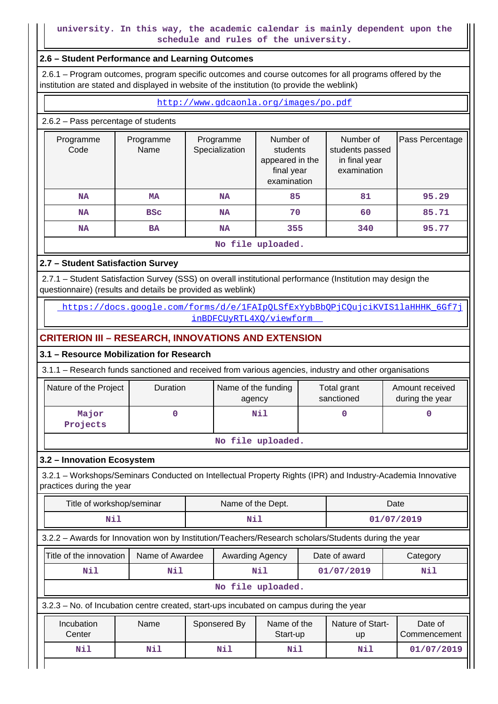## **university. In this way, the academic calendar is mainly dependent upon the schedule and rules of the university.**

#### **2.6 – Student Performance and Learning Outcomes**

 2.6.1 – Program outcomes, program specific outcomes and course outcomes for all programs offered by the institution are stated and displayed in website of the institution (to provide the weblink)

<http://www.gdcaonla.org/images/po.pdf>

### 2.6.2 – Pass percentage of students

| Programme<br>Code | Programme<br>Name | Programme<br>Specialization | Number of<br>students<br>appeared in the<br>final year<br>examination | Number of<br>students passed<br>in final year<br>examination | Pass Percentage |  |  |  |  |  |  |
|-------------------|-------------------|-----------------------------|-----------------------------------------------------------------------|--------------------------------------------------------------|-----------------|--|--|--|--|--|--|
| <b>NA</b>         | MA                | <b>NA</b>                   | 85                                                                    | 81                                                           | 95.29           |  |  |  |  |  |  |
| <b>NA</b>         | <b>BSC</b>        | <b>NA</b>                   | 70                                                                    | 60                                                           | 85.71           |  |  |  |  |  |  |
| <b>NA</b>         | BA                | <b>NA</b>                   | 355                                                                   | 340                                                          | 95.77           |  |  |  |  |  |  |
|                   | No file uploaded. |                             |                                                                       |                                                              |                 |  |  |  |  |  |  |

## **2.7 – Student Satisfaction Survey**

 2.7.1 – Student Satisfaction Survey (SSS) on overall institutional performance (Institution may design the questionnaire) (results and details be provided as weblink)

https://docs.google.com/forms/d/e/1FAIpOLSfExYybBbOPjCOujciKVIS1laHHHK\_6Gf7j [inBDFCUyRTL4XQ/viewform](https://docs.google.com/forms/d/e/1FAIpQLSfExYybBbQPjCQujciKVIS1laHHHK_6Gf7jinBDFCUyRTL4XQ/viewform) 

# **CRITERION III – RESEARCH, INNOVATIONS AND EXTENSION**

### **3.1 – Resource Mobilization for Research**

3.1.1 – Research funds sanctioned and received from various agencies, industry and other organisations

| Nature of the Project | <b>Duration</b> | Name of the funding<br>agency | Total grant<br>sanctioned | Amount received<br>during the year |  |  |  |  |  |
|-----------------------|-----------------|-------------------------------|---------------------------|------------------------------------|--|--|--|--|--|
| Major<br>Projects     |                 | Nil                           |                           |                                    |  |  |  |  |  |
| No file uploaded.     |                 |                               |                           |                                    |  |  |  |  |  |

# **3.2 – Innovation Ecosystem**

 3.2.1 – Workshops/Seminars Conducted on Intellectual Property Rights (IPR) and Industry-Academia Innovative practices during the year

| Title of workshop/seminar                                                                            |                 |              | Name of the Dept. |                         |            | Date                   |                         |  |
|------------------------------------------------------------------------------------------------------|-----------------|--------------|-------------------|-------------------------|------------|------------------------|-------------------------|--|
| Nil<br>Nil                                                                                           |                 |              |                   |                         | 01/07/2019 |                        |                         |  |
| 3.2.2 - Awards for Innovation won by Institution/Teachers/Research scholars/Students during the year |                 |              |                   |                         |            |                        |                         |  |
| Title of the innovation                                                                              | Name of Awardee |              | Awarding Agency   |                         |            | Date of award          | Category                |  |
| Nil<br>Nil                                                                                           |                 |              | Nil               |                         |            | 01/07/2019             | Nil                     |  |
|                                                                                                      |                 |              |                   | No file uploaded.       |            |                        |                         |  |
| 3.2.3 – No. of Incubation centre created, start-ups incubated on campus during the year              |                 |              |                   |                         |            |                        |                         |  |
| Name<br>Incubation<br>Center                                                                         |                 | Sponsered By |                   | Name of the<br>Start-up |            | Nature of Start-<br>up | Date of<br>Commencement |  |
| Nil<br>Nil                                                                                           |                 |              | Nil               | Nil                     |            | Nil                    | 01/07/2019              |  |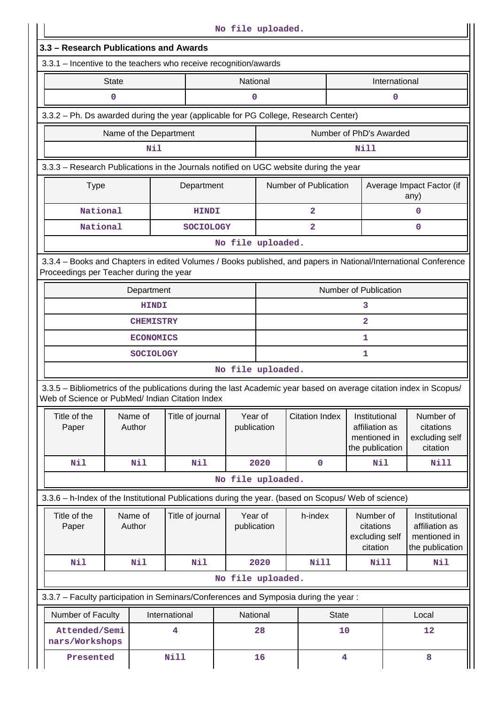|                                                                                                                                                                       |                        |                  |                  | No file uploaded.      |      |                         |                |                                                                    |               |                                                                    |  |
|-----------------------------------------------------------------------------------------------------------------------------------------------------------------------|------------------------|------------------|------------------|------------------------|------|-------------------------|----------------|--------------------------------------------------------------------|---------------|--------------------------------------------------------------------|--|
| 3.3 - Research Publications and Awards<br>3.3.1 - Incentive to the teachers who receive recognition/awards                                                            |                        |                  |                  |                        |      |                         |                |                                                                    |               |                                                                    |  |
|                                                                                                                                                                       |                        |                  |                  |                        |      |                         |                |                                                                    |               |                                                                    |  |
|                                                                                                                                                                       | <b>State</b>           |                  |                  | National               |      |                         |                |                                                                    | International |                                                                    |  |
|                                                                                                                                                                       | 0                      |                  |                  | 0                      |      |                         |                |                                                                    | 0             |                                                                    |  |
| 3.3.2 - Ph. Ds awarded during the year (applicable for PG College, Research Center)                                                                                   |                        |                  |                  |                        |      |                         |                |                                                                    |               |                                                                    |  |
|                                                                                                                                                                       | Name of the Department |                  |                  |                        |      |                         |                | Number of PhD's Awarded                                            |               |                                                                    |  |
|                                                                                                                                                                       |                        | Nil              |                  |                        |      |                         |                | Nill                                                               |               |                                                                    |  |
| 3.3.3 - Research Publications in the Journals notified on UGC website during the year                                                                                 |                        |                  |                  |                        |      |                         |                |                                                                    |               |                                                                    |  |
| <b>Type</b>                                                                                                                                                           |                        |                  | Department       |                        |      | Number of Publication   |                |                                                                    |               | Average Impact Factor (if<br>any)                                  |  |
| National                                                                                                                                                              |                        |                  | <b>HINDI</b>     |                        |      | $\overline{a}$          |                |                                                                    |               | $\mathbf 0$                                                        |  |
| National                                                                                                                                                              |                        |                  | <b>SOCIOLOGY</b> |                        |      | $\overline{\mathbf{2}}$ |                |                                                                    |               | $\mathbf 0$                                                        |  |
|                                                                                                                                                                       |                        |                  |                  | No file uploaded.      |      |                         |                |                                                                    |               |                                                                    |  |
| 3.3.4 - Books and Chapters in edited Volumes / Books published, and papers in National/International Conference<br>Proceedings per Teacher during the year            |                        |                  |                  |                        |      |                         |                |                                                                    |               |                                                                    |  |
|                                                                                                                                                                       |                        | Department       |                  |                        |      |                         |                | Number of Publication                                              |               |                                                                    |  |
| <b>HINDI</b><br>3                                                                                                                                                     |                        |                  |                  |                        |      |                         |                |                                                                    |               |                                                                    |  |
| $\mathbf{2}$<br><b>CHEMISTRY</b>                                                                                                                                      |                        |                  |                  |                        |      |                         |                |                                                                    |               |                                                                    |  |
|                                                                                                                                                                       |                        | <b>ECONOMICS</b> |                  |                        |      |                         |                | 1                                                                  |               |                                                                    |  |
|                                                                                                                                                                       |                        | <b>SOCIOLOGY</b> |                  |                        |      |                         |                | 1                                                                  |               |                                                                    |  |
|                                                                                                                                                                       |                        |                  |                  | No file uploaded.      |      |                         |                |                                                                    |               |                                                                    |  |
| 3.3.5 - Bibliometrics of the publications during the last Academic year based on average citation index in Scopus/<br>Web of Science or PubMed/ Indian Citation Index |                        |                  |                  |                        |      |                         |                |                                                                    |               |                                                                    |  |
| Title of the<br>Paper                                                                                                                                                 | Name of<br>Author      |                  | Title of journal | Year of<br>publication |      | <b>Citation Index</b>   |                | Institutional<br>affiliation as<br>mentioned in<br>the publication |               | Number of<br>citations<br>excluding self<br>citation               |  |
| Nil                                                                                                                                                                   | Nil                    |                  | Nil              |                        | 2020 | 0                       |                | Nil                                                                |               | Nill                                                               |  |
|                                                                                                                                                                       |                        |                  |                  | No file uploaded.      |      |                         |                |                                                                    |               |                                                                    |  |
| 3.3.6 - h-Index of the Institutional Publications during the year. (based on Scopus/ Web of science)                                                                  |                        |                  |                  |                        |      |                         |                |                                                                    |               |                                                                    |  |
| Title of the<br>Paper                                                                                                                                                 | Name of<br>Author      |                  | Title of journal | Year of<br>publication |      | h-index                 |                | Number of<br>citations<br>excluding self<br>citation               |               | Institutional<br>affiliation as<br>mentioned in<br>the publication |  |
| Nil                                                                                                                                                                   | Nil                    |                  | Nil              |                        | 2020 | <b>Nill</b>             |                | Nill                                                               |               | Nil                                                                |  |
|                                                                                                                                                                       |                        |                  |                  | No file uploaded.      |      |                         |                |                                                                    |               |                                                                    |  |
| 3.3.7 - Faculty participation in Seminars/Conferences and Symposia during the year:                                                                                   |                        |                  |                  |                        |      |                         |                |                                                                    |               |                                                                    |  |
| Number of Faculty                                                                                                                                                     |                        | International    |                  | National               |      |                         | <b>State</b>   |                                                                    |               | Local                                                              |  |
| Attended/Semi<br>nars/Workshops                                                                                                                                       |                        |                  | 4                |                        | 28   |                         | 10             |                                                                    | 12            |                                                                    |  |
| Presented                                                                                                                                                             |                        | Nill             |                  |                        | 16   |                         | $\overline{4}$ |                                                                    |               | 8                                                                  |  |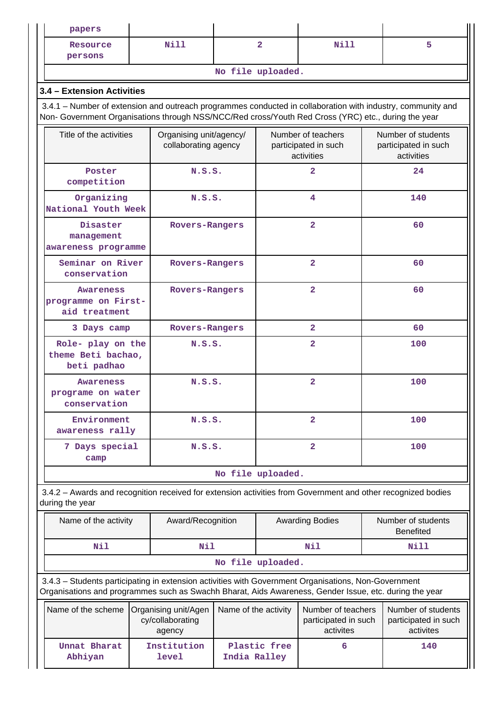| papers                                                                                                                                                                                                             |  |                                                                            |              |                                                          |                        |     |                                                          |
|--------------------------------------------------------------------------------------------------------------------------------------------------------------------------------------------------------------------|--|----------------------------------------------------------------------------|--------------|----------------------------------------------------------|------------------------|-----|----------------------------------------------------------|
| Resource<br>persons                                                                                                                                                                                                |  | Nill                                                                       |              | $\overline{2}$                                           | Nill                   |     | 5                                                        |
|                                                                                                                                                                                                                    |  |                                                                            |              | No file uploaded.                                        |                        |     |                                                          |
| 3.4 - Extension Activities                                                                                                                                                                                         |  |                                                                            |              |                                                          |                        |     |                                                          |
| 3.4.1 – Number of extension and outreach programmes conducted in collaboration with industry, community and<br>Non- Government Organisations through NSS/NCC/Red cross/Youth Red Cross (YRC) etc., during the year |  |                                                                            |              |                                                          |                        |     |                                                          |
| Title of the activities                                                                                                                                                                                            |  | Organising unit/agency/<br>collaborating agency                            |              | Number of teachers<br>participated in such<br>activities |                        |     | Number of students<br>participated in such<br>activities |
| Poster<br>competition                                                                                                                                                                                              |  | N.S.S.                                                                     |              |                                                          | $\overline{2}$         |     | 24                                                       |
| Organizing<br>National Youth Week                                                                                                                                                                                  |  | N.S.S.                                                                     |              |                                                          | 4                      |     | 140                                                      |
| Disaster<br>management<br>awareness programme                                                                                                                                                                      |  | Rovers-Rangers                                                             |              |                                                          | $\overline{2}$         |     | 60                                                       |
| Seminar on River<br>conservation                                                                                                                                                                                   |  | Rovers-Rangers                                                             |              |                                                          | $\overline{2}$         |     | 60                                                       |
| <b>Awareness</b><br>programme on First-<br>aid treatment                                                                                                                                                           |  | Rovers-Rangers                                                             |              | $\overline{a}$                                           |                        | 60  |                                                          |
| 3 Days camp                                                                                                                                                                                                        |  | Rovers-Rangers                                                             |              |                                                          | $\mathbf{2}$           |     | 60                                                       |
| Role- play on the<br>theme Beti bachao,<br>beti padhao                                                                                                                                                             |  | N.S.S.                                                                     |              |                                                          | $\overline{2}$         |     | 100                                                      |
| <b>Awareness</b><br>programe on water<br>conservation                                                                                                                                                              |  | N.S.S.                                                                     |              | $\overline{2}$                                           |                        | 100 |                                                          |
| Environment<br>awareness rally                                                                                                                                                                                     |  | N.S.S.                                                                     |              | $\overline{a}$                                           |                        | 100 |                                                          |
| 7 Days special<br>camp                                                                                                                                                                                             |  | N.S.S.                                                                     |              | $\overline{2}$                                           |                        | 100 |                                                          |
|                                                                                                                                                                                                                    |  |                                                                            |              | No file uploaded.                                        |                        |     |                                                          |
| 3.4.2 - Awards and recognition received for extension activities from Government and other recognized bodies<br>during the year                                                                                    |  |                                                                            |              |                                                          |                        |     |                                                          |
| Name of the activity                                                                                                                                                                                               |  | Award/Recognition                                                          |              |                                                          | <b>Awarding Bodies</b> |     | Number of students<br><b>Benefited</b>                   |
| Nil                                                                                                                                                                                                                |  | Nil                                                                        |              |                                                          | Nil                    |     | Nill                                                     |
|                                                                                                                                                                                                                    |  |                                                                            |              | No file uploaded.                                        |                        |     |                                                          |
| 3.4.3 - Students participating in extension activities with Government Organisations, Non-Government<br>Organisations and programmes such as Swachh Bharat, Aids Awareness, Gender Issue, etc. during the year     |  |                                                                            |              |                                                          |                        |     |                                                          |
| Name of the scheme                                                                                                                                                                                                 |  | Name of the activity<br>Organising unit/Agen<br>cy/collaborating<br>agency |              | Number of teachers<br>participated in such<br>activites  |                        |     | Number of students<br>participated in such<br>activites  |
| Unnat Bharat<br>Abhiyan                                                                                                                                                                                            |  | Institution<br>level                                                       | India Ralley | Plastic free                                             | 6                      |     | 140                                                      |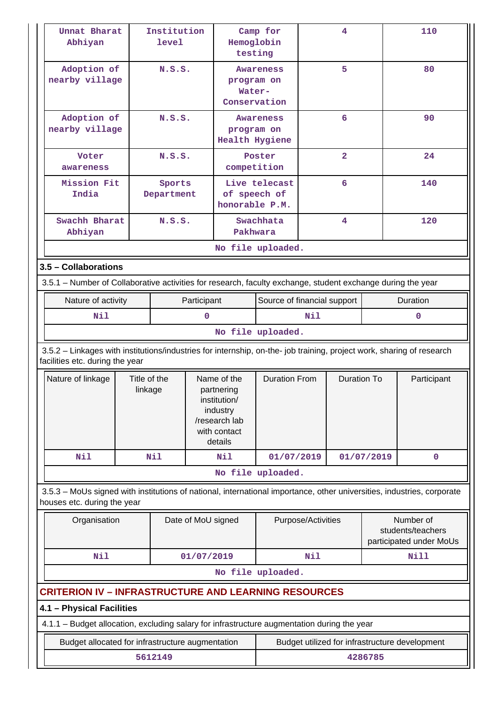|                      | Unnat Bharat<br>Abhiyan                                                                                                                                  |                         | Institution<br>level |                                                                                                   | Camp for<br>Hemoglobin<br>testing   |                                                | 4                  |                    |            | 110                                                       |
|----------------------|----------------------------------------------------------------------------------------------------------------------------------------------------------|-------------------------|----------------------|---------------------------------------------------------------------------------------------------|-------------------------------------|------------------------------------------------|--------------------|--------------------|------------|-----------------------------------------------------------|
|                      | Adoption of<br>nearby village                                                                                                                            | N.S.S.                  |                      | program on<br>Water-<br>Conservation                                                              |                                     | Awareness                                      |                    | 5                  |            | 80                                                        |
|                      | Adoption of<br>nearby village                                                                                                                            |                         | N.S.S.               |                                                                                                   | program on<br><b>Health Hygiene</b> | Awareness                                      |                    | 6                  |            | 90                                                        |
|                      | Voter<br>awareness                                                                                                                                       |                         | N.S.S.               |                                                                                                   | competition                         | Poster                                         |                    | $\overline{2}$     |            | 24                                                        |
|                      | Mission Fit<br>India                                                                                                                                     |                         | Sports<br>Department |                                                                                                   | of speech of<br>honorable P.M.      | Live telecast                                  |                    | 6                  |            | 140                                                       |
|                      | Swachh Bharat<br>Abhiyan                                                                                                                                 |                         | N.S.S.               |                                                                                                   | Pakhwara                            | Swachhata                                      |                    | 4                  |            | 120                                                       |
|                      |                                                                                                                                                          |                         |                      |                                                                                                   |                                     | No file uploaded.                              |                    |                    |            |                                                           |
| 3.5 - Collaborations |                                                                                                                                                          |                         |                      |                                                                                                   |                                     |                                                |                    |                    |            |                                                           |
|                      | 3.5.1 – Number of Collaborative activities for research, faculty exchange, student exchange during the year                                              |                         |                      |                                                                                                   |                                     |                                                |                    |                    |            |                                                           |
|                      | Nature of activity                                                                                                                                       |                         |                      | Participant                                                                                       |                                     | Source of financial support                    |                    |                    | Duration   |                                                           |
|                      | Nil                                                                                                                                                      |                         |                      | 0                                                                                                 |                                     | Nil                                            |                    |                    | $\Omega$   |                                                           |
|                      |                                                                                                                                                          |                         |                      |                                                                                                   |                                     | No file uploaded.                              |                    |                    |            |                                                           |
|                      | 3.5.2 - Linkages with institutions/industries for internship, on-the- job training, project work, sharing of research<br>facilities etc. during the year |                         |                      |                                                                                                   |                                     |                                                |                    |                    |            |                                                           |
|                      | Nature of linkage                                                                                                                                        | Title of the<br>linkage |                      | Name of the<br>partnering<br>institution/<br>industry<br>/research lab<br>with contact<br>details |                                     | <b>Duration From</b>                           |                    | <b>Duration To</b> |            | Participant                                               |
|                      | Nil                                                                                                                                                      |                         | Nil                  |                                                                                                   | Nil                                 | 01/07/2019                                     |                    |                    | 01/07/2019 | $\mathbf 0$                                               |
|                      |                                                                                                                                                          |                         |                      |                                                                                                   |                                     | No file uploaded.                              |                    |                    |            |                                                           |
|                      | 3.5.3 – MoUs signed with institutions of national, international importance, other universities, industries, corporate<br>houses etc. during the year    |                         |                      |                                                                                                   |                                     |                                                |                    |                    |            |                                                           |
|                      | Organisation                                                                                                                                             |                         |                      | Date of MoU signed                                                                                |                                     |                                                | Purpose/Activities |                    |            | Number of<br>students/teachers<br>participated under MoUs |
|                      | <b>Nil</b><br>01/07/2019                                                                                                                                 |                         |                      |                                                                                                   | Nil                                 |                                                |                    | <b>Nill</b>        |            |                                                           |
|                      |                                                                                                                                                          |                         |                      |                                                                                                   |                                     | No file uploaded.                              |                    |                    |            |                                                           |
|                      | <b>CRITERION IV – INFRASTRUCTURE AND LEARNING RESOURCES</b>                                                                                              |                         |                      |                                                                                                   |                                     |                                                |                    |                    |            |                                                           |
|                      | 4.1 - Physical Facilities                                                                                                                                |                         |                      |                                                                                                   |                                     |                                                |                    |                    |            |                                                           |
|                      | 4.1.1 - Budget allocation, excluding salary for infrastructure augmentation during the year                                                              |                         |                      |                                                                                                   |                                     |                                                |                    |                    |            |                                                           |
|                      |                                                                                                                                                          |                         |                      |                                                                                                   |                                     | Budget utilized for infrastructure development |                    |                    |            |                                                           |
|                      | Budget allocated for infrastructure augmentation<br>5612149                                                                                              |                         |                      |                                                                                                   |                                     | 4286785                                        |                    |                    |            |                                                           |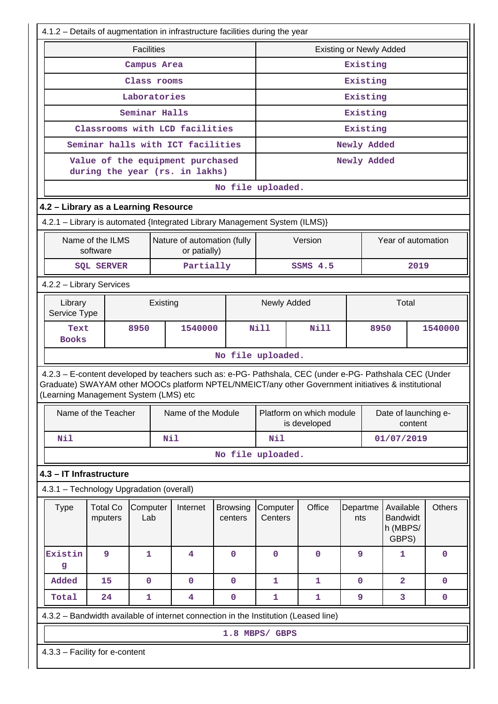|                                                                                                                                                            | 4.1.2 - Details of augmentation in infrastructure facilities during the year |                   |                                                                                                                                                                                                                |                   |                |                                          |  |                                                   |                         |               |             |  |
|------------------------------------------------------------------------------------------------------------------------------------------------------------|------------------------------------------------------------------------------|-------------------|----------------------------------------------------------------------------------------------------------------------------------------------------------------------------------------------------------------|-------------------|----------------|------------------------------------------|--|---------------------------------------------------|-------------------------|---------------|-------------|--|
|                                                                                                                                                            |                                                                              | <b>Facilities</b> |                                                                                                                                                                                                                |                   |                |                                          |  | <b>Existing or Newly Added</b>                    |                         |               |             |  |
|                                                                                                                                                            |                                                                              | Campus Area       |                                                                                                                                                                                                                |                   |                |                                          |  | Existing                                          |                         |               |             |  |
|                                                                                                                                                            |                                                                              | Class rooms       |                                                                                                                                                                                                                |                   | Existing       |                                          |  |                                                   |                         |               |             |  |
|                                                                                                                                                            |                                                                              | Laboratories      |                                                                                                                                                                                                                |                   | Existing       |                                          |  |                                                   |                         |               |             |  |
|                                                                                                                                                            |                                                                              | Seminar Halls     |                                                                                                                                                                                                                |                   |                |                                          |  | Existing                                          |                         |               |             |  |
|                                                                                                                                                            |                                                                              |                   | Classrooms with LCD facilities                                                                                                                                                                                 |                   |                |                                          |  | Existing                                          |                         |               |             |  |
|                                                                                                                                                            |                                                                              |                   | Seminar halls with ICT facilities                                                                                                                                                                              |                   |                |                                          |  | Newly Added                                       |                         |               |             |  |
|                                                                                                                                                            |                                                                              |                   | Value of the equipment purchased<br>during the year (rs. in lakhs)                                                                                                                                             |                   |                |                                          |  | Newly Added                                       |                         |               |             |  |
| No file uploaded.                                                                                                                                          |                                                                              |                   |                                                                                                                                                                                                                |                   |                |                                          |  |                                                   |                         |               |             |  |
| 4.2 - Library as a Learning Resource                                                                                                                       |                                                                              |                   |                                                                                                                                                                                                                |                   |                |                                          |  |                                                   |                         |               |             |  |
| 4.2.1 - Library is automated {Integrated Library Management System (ILMS)}                                                                                 |                                                                              |                   |                                                                                                                                                                                                                |                   |                |                                          |  |                                                   |                         |               |             |  |
|                                                                                                                                                            | Name of the ILMS<br>software                                                 |                   | Nature of automation (fully<br>or patially)                                                                                                                                                                    |                   |                | Version                                  |  |                                                   | Year of automation      |               |             |  |
|                                                                                                                                                            | <b>SQL SERVER</b>                                                            |                   | Partially                                                                                                                                                                                                      |                   | SSMS 4.5       |                                          |  |                                                   | 2019                    |               |             |  |
| 4.2.2 - Library Services                                                                                                                                   |                                                                              |                   |                                                                                                                                                                                                                |                   |                |                                          |  |                                                   |                         |               |             |  |
|                                                                                                                                                            | Newly Added<br>Total<br>Library<br>Existing<br>Service Type                  |                   |                                                                                                                                                                                                                |                   |                |                                          |  |                                                   |                         |               |             |  |
| Text<br><b>Books</b>                                                                                                                                       |                                                                              | 8950              | 1540000                                                                                                                                                                                                        |                   | <b>Nill</b>    | <b>Nill</b>                              |  | 8950                                              |                         |               | 1540000     |  |
| No file uploaded.                                                                                                                                          |                                                                              |                   |                                                                                                                                                                                                                |                   |                |                                          |  |                                                   |                         |               |             |  |
| (Learning Management System (LMS) etc                                                                                                                      |                                                                              |                   | 4.2.3 - E-content developed by teachers such as: e-PG- Pathshala, CEC (under e-PG- Pathshala CEC (Under<br>Graduate) SWAYAM other MOOCs platform NPTEL/NMEICT/any other Government initiatives & institutional |                   |                |                                          |  |                                                   |                         |               |             |  |
|                                                                                                                                                            | Name of the Teacher                                                          |                   | Name of the Module                                                                                                                                                                                             |                   |                | Platform on which module<br>is developed |  |                                                   | Date of launching e-    | content       |             |  |
| Nil                                                                                                                                                        |                                                                              |                   | Nil                                                                                                                                                                                                            |                   | Nil            |                                          |  |                                                   | 01/07/2019              |               |             |  |
|                                                                                                                                                            |                                                                              |                   |                                                                                                                                                                                                                | No file uploaded. |                |                                          |  |                                                   |                         |               |             |  |
| 4.3 - IT Infrastructure                                                                                                                                    |                                                                              |                   |                                                                                                                                                                                                                |                   |                |                                          |  |                                                   |                         |               |             |  |
| 4.3.1 - Technology Upgradation (overall)                                                                                                                   |                                                                              |                   |                                                                                                                                                                                                                |                   |                |                                          |  |                                                   |                         |               |             |  |
| Office<br><b>Type</b><br><b>Total Co</b><br>Computer<br>Internet<br>Computer<br>Departme<br><b>Browsing</b><br>Lab<br>Centers<br>mputers<br>centers<br>nts |                                                                              |                   |                                                                                                                                                                                                                |                   |                |                                          |  | Available<br><b>Bandwidt</b><br>h (MBPS/<br>GBPS) |                         | <b>Others</b> |             |  |
| Existin<br>g                                                                                                                                               | 9                                                                            | $\mathbf{1}$      | 4                                                                                                                                                                                                              | 0                 | 0              | $\mathbf 0$                              |  | 9                                                 | 1                       |               | 0           |  |
| Added                                                                                                                                                      | 15                                                                           | 0                 | $\mathbf 0$                                                                                                                                                                                                    | $\mathbf 0$       | $\mathbf{1}$   | $\mathbf{1}$                             |  | $\mathbf 0$                                       | $\overline{\mathbf{2}}$ |               | $\mathbf 0$ |  |
| Total                                                                                                                                                      | 24                                                                           | $\mathbf{1}$      | 4                                                                                                                                                                                                              | 0                 | 1              | 1                                        |  | 9                                                 | 3                       |               | 0           |  |
|                                                                                                                                                            |                                                                              |                   | 4.3.2 - Bandwidth available of internet connection in the Institution (Leased line)                                                                                                                            |                   |                |                                          |  |                                                   |                         |               |             |  |
|                                                                                                                                                            |                                                                              |                   |                                                                                                                                                                                                                |                   | 1.8 MBPS/ GBPS |                                          |  |                                                   |                         |               |             |  |
| 4.3.3 - Facility for e-content                                                                                                                             |                                                                              |                   |                                                                                                                                                                                                                |                   |                |                                          |  |                                                   |                         |               |             |  |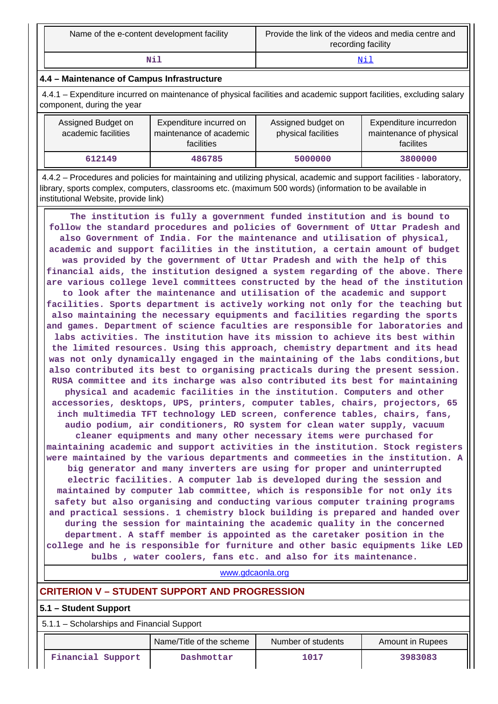| Name of the e-content development facility | Provide the link of the videos and media centre and<br>recording facility |
|--------------------------------------------|---------------------------------------------------------------------------|
| Nil                                        | Νi                                                                        |

#### **4.4 – Maintenance of Campus Infrastructure**

 4.4.1 – Expenditure incurred on maintenance of physical facilities and academic support facilities, excluding salary component, during the year

| Assigned Budget on<br>academic facilities | Expenditure incurred on<br>maintenance of academic<br><b>facilities</b> | Assigned budget on<br>physical facilities | Expenditure incurredon<br>maintenance of physical<br>facilites |  |
|-------------------------------------------|-------------------------------------------------------------------------|-------------------------------------------|----------------------------------------------------------------|--|
| 612149                                    | 486785                                                                  | 5000000                                   | 3800000                                                        |  |

 4.4.2 – Procedures and policies for maintaining and utilizing physical, academic and support facilities - laboratory, library, sports complex, computers, classrooms etc. (maximum 500 words) (information to be available in institutional Website, provide link)

 **The institution is fully a government funded institution and is bound to follow the standard procedures and policies of Government of Uttar Pradesh and also Government of India. For the maintenance and utilisation of physical, academic and support facilities in the institution, a certain amount of budget was provided by the government of Uttar Pradesh and with the help of this financial aids, the institution designed a system regarding of the above. There are various college level committees constructed by the head of the institution to look after the maintenance and utilisation of the academic and support facilities. Sports department is actively working not only for the teaching but also maintaining the necessary equipments and facilities regarding the sports and games. Department of science faculties are responsible for laboratories and labs activities. The institution have its mission to achieve its best within the limited resources. Using this approach, chemistry department and its head was not only dynamically engaged in the maintaining of the labs conditions,but also contributed its best to organising practicals during the present session. RUSA committee and its incharge was also contributed its best for maintaining physical and academic facilities in the institution. Computers and other accessories, desktops, UPS, printers, computer tables, chairs, projectors, 65 inch multimedia TFT technology LED screen, conference tables, chairs, fans, audio podium, air conditioners, RO system for clean water supply, vacuum cleaner equipments and many other necessary items were purchased for maintaining academic and support activities in the institution. Stock registers were maintained by the various departments and commeeties in the institution. A big generator and many inverters are using for proper and uninterrupted electric facilities. A computer lab is developed during the session and maintained by computer lab committee, which is responsible for not only its safety but also organising and conducting various computer training programs and practical sessions. 1 chemistry block building is prepared and handed over during the session for maintaining the academic quality in the concerned department. A staff member is appointed as the caretaker position in the college and he is responsible for furniture and other basic equipments like LED bulbs , water coolers, fans etc. and also for its maintenance.**

#### <www.gdcaonla.org>

#### **CRITERION V – STUDENT SUPPORT AND PROGRESSION**

#### **5.1 – Student Support**

5.1.1 – Scholarships and Financial Support

|                   | Name/Title of the scheme |      | Amount in Rupees |  |
|-------------------|--------------------------|------|------------------|--|
| Financial Support | Dashmottar               | 1017 | 3983083          |  |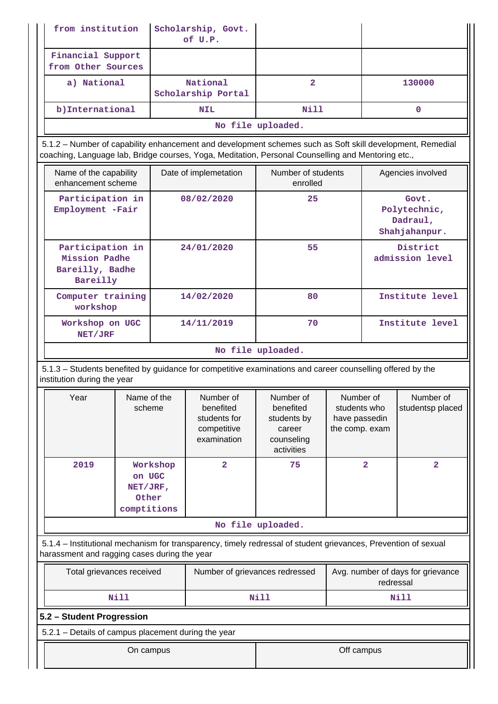| from institution                                                                                                                                               |                                                                                                                                                                                                                 |          | Scholarship, Govt.<br>of U.P.                                        |                                                                             |                                                              |                                   |                                                    |
|----------------------------------------------------------------------------------------------------------------------------------------------------------------|-----------------------------------------------------------------------------------------------------------------------------------------------------------------------------------------------------------------|----------|----------------------------------------------------------------------|-----------------------------------------------------------------------------|--------------------------------------------------------------|-----------------------------------|----------------------------------------------------|
| Financial Support<br>from Other Sources                                                                                                                        |                                                                                                                                                                                                                 |          |                                                                      |                                                                             |                                                              |                                   |                                                    |
| a) National                                                                                                                                                    |                                                                                                                                                                                                                 |          | National<br>Scholarship Portal                                       | $\overline{2}$                                                              |                                                              |                                   | 130000                                             |
| b) International                                                                                                                                               |                                                                                                                                                                                                                 |          | <b>NIL</b>                                                           | Nill                                                                        |                                                              |                                   | $\Omega$                                           |
|                                                                                                                                                                |                                                                                                                                                                                                                 |          |                                                                      | No file uploaded.                                                           |                                                              |                                   |                                                    |
|                                                                                                                                                                | 5.1.2 - Number of capability enhancement and development schemes such as Soft skill development, Remedial<br>coaching, Language lab, Bridge courses, Yoga, Meditation, Personal Counselling and Mentoring etc., |          |                                                                      |                                                                             |                                                              |                                   |                                                    |
| Name of the capability<br>enhancement scheme                                                                                                                   |                                                                                                                                                                                                                 |          | Date of implemetation                                                | Number of students<br>enrolled                                              |                                                              |                                   | Agencies involved                                  |
| Participation in<br>Employment -Fair                                                                                                                           |                                                                                                                                                                                                                 |          | 08/02/2020                                                           | 25                                                                          |                                                              |                                   | Govt.<br>Polytechnic,<br>Dadraul,<br>Shahjahanpur. |
| Participation in<br>Mission Padhe<br>Bareilly, Badhe<br>Bareilly                                                                                               |                                                                                                                                                                                                                 |          | 24/01/2020                                                           | 55                                                                          |                                                              | District<br>admission level       |                                                    |
| Computer training<br>workshop                                                                                                                                  |                                                                                                                                                                                                                 |          | 14/02/2020                                                           | 80                                                                          |                                                              | Institute level                   |                                                    |
| Workshop on UGC<br>NET/JRF                                                                                                                                     |                                                                                                                                                                                                                 |          | 14/11/2019                                                           | 70                                                                          |                                                              | Institute level                   |                                                    |
|                                                                                                                                                                |                                                                                                                                                                                                                 |          |                                                                      | No file uploaded.                                                           |                                                              |                                   |                                                    |
| 5.1.3 – Students benefited by guidance for competitive examinations and career counselling offered by the<br>institution during the year                       |                                                                                                                                                                                                                 |          |                                                                      |                                                                             |                                                              |                                   |                                                    |
| Year                                                                                                                                                           | Name of the<br>scheme                                                                                                                                                                                           |          | Number of<br>benefited<br>students for<br>competitive<br>examination | Number of<br>benefited<br>students by<br>career<br>counseling<br>activities | Number of<br>students who<br>have passedin<br>the comp. exam |                                   | Number of<br>studentsp placed                      |
| 2019                                                                                                                                                           | on UGC<br>NET/JRF,<br>Other<br>comptitions                                                                                                                                                                      | Workshop | $\overline{a}$                                                       | 75                                                                          |                                                              | $\overline{\mathbf{2}}$           | $\overline{\mathbf{2}}$                            |
|                                                                                                                                                                |                                                                                                                                                                                                                 |          |                                                                      | No file uploaded.                                                           |                                                              |                                   |                                                    |
| 5.1.4 – Institutional mechanism for transparency, timely redressal of student grievances, Prevention of sexual<br>harassment and ragging cases during the year |                                                                                                                                                                                                                 |          |                                                                      |                                                                             |                                                              |                                   |                                                    |
| Total grievances received                                                                                                                                      |                                                                                                                                                                                                                 |          | Number of grievances redressed                                       |                                                                             | redressal                                                    | Avg. number of days for grievance |                                                    |
|                                                                                                                                                                | <b>Nill</b><br>Nill<br>Nill                                                                                                                                                                                     |          |                                                                      |                                                                             |                                                              |                                   |                                                    |
| 5.2 - Student Progression                                                                                                                                      |                                                                                                                                                                                                                 |          |                                                                      |                                                                             |                                                              |                                   |                                                    |
| 5.2.1 - Details of campus placement during the year                                                                                                            |                                                                                                                                                                                                                 |          |                                                                      |                                                                             |                                                              |                                   |                                                    |
|                                                                                                                                                                | On campus                                                                                                                                                                                                       |          |                                                                      |                                                                             | Off campus                                                   |                                   |                                                    |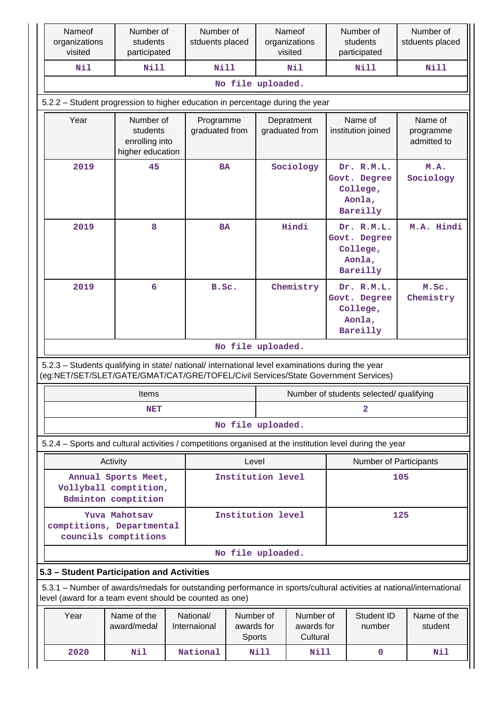|                                                                                                          | Nameof<br>organizations<br>visited                                                                                                                                                     | Number of<br>students<br>participated                       | Number of<br>stduents placed |                   |                         | Nameof<br>organizations<br>visited  |  | Number of<br>students<br>participated                        | Number of<br>stduents placed        |
|----------------------------------------------------------------------------------------------------------|----------------------------------------------------------------------------------------------------------------------------------------------------------------------------------------|-------------------------------------------------------------|------------------------------|-------------------|-------------------------|-------------------------------------|--|--------------------------------------------------------------|-------------------------------------|
|                                                                                                          | Nil                                                                                                                                                                                    | Nill                                                        |                              | <b>Nill</b>       |                         | Nil                                 |  | <b>Nill</b>                                                  | Nill                                |
|                                                                                                          |                                                                                                                                                                                        |                                                             |                              | No file uploaded. |                         |                                     |  |                                                              |                                     |
|                                                                                                          | 5.2.2 – Student progression to higher education in percentage during the year                                                                                                          |                                                             |                              |                   |                         |                                     |  |                                                              |                                     |
|                                                                                                          | Year                                                                                                                                                                                   | Number of<br>students<br>enrolling into<br>higher education | Programme<br>graduated from  |                   |                         | Depratment<br>graduated from        |  | Name of<br>institution joined                                | Name of<br>programme<br>admitted to |
|                                                                                                          | 2019                                                                                                                                                                                   | 45                                                          |                              | <b>BA</b>         |                         | Sociology                           |  | Dr. R.M.L.<br>Govt. Degree<br>College,<br>Aonla,<br>Bareilly | M.A.<br>Sociology                   |
|                                                                                                          | 2019                                                                                                                                                                                   | 8                                                           |                              | <b>BA</b>         |                         | Hindi                               |  | Dr. R.M.L.<br>Govt. Degree<br>College,<br>Aonla,<br>Bareilly | M.A. Hindi                          |
|                                                                                                          | 2019                                                                                                                                                                                   | 6                                                           |                              | B.Sc.             |                         | Chemistry                           |  | Dr. R.M.L.<br>Govt. Degree<br>College,<br>Aonla,<br>Bareilly | M.Sc.<br>Chemistry                  |
|                                                                                                          |                                                                                                                                                                                        |                                                             |                              | No file uploaded. |                         |                                     |  |                                                              |                                     |
|                                                                                                          | 5.2.3 - Students qualifying in state/ national/ international level examinations during the year<br>(eg:NET/SET/SLET/GATE/GMAT/CAT/GRE/TOFEL/Civil Services/State Government Services) |                                                             |                              |                   |                         |                                     |  |                                                              |                                     |
|                                                                                                          |                                                                                                                                                                                        | Items                                                       |                              |                   |                         |                                     |  | Number of students selected/ qualifying                      |                                     |
|                                                                                                          |                                                                                                                                                                                        | NET                                                         |                              |                   |                         |                                     |  | $\overline{a}$                                               |                                     |
|                                                                                                          |                                                                                                                                                                                        |                                                             |                              | No file uploaded. |                         |                                     |  |                                                              |                                     |
| 5.2.4 - Sports and cultural activities / competitions organised at the institution level during the year |                                                                                                                                                                                        |                                                             |                              |                   |                         |                                     |  |                                                              |                                     |
|                                                                                                          |                                                                                                                                                                                        | Activity                                                    |                              | Level             |                         | <b>Number of Participants</b>       |  |                                                              |                                     |
|                                                                                                          | Annual Sports Meet,<br>Vollyball comptition,<br><b>Bdminton</b> comptition                                                                                                             |                                                             | Institution level            |                   | 105                     |                                     |  |                                                              |                                     |
|                                                                                                          | Yuva Mahotsav<br>comptitions, Departmental<br>councils comptitions                                                                                                                     |                                                             | Institution level            |                   |                         | 125                                 |  |                                                              |                                     |
|                                                                                                          | No file uploaded.                                                                                                                                                                      |                                                             |                              |                   |                         |                                     |  |                                                              |                                     |
|                                                                                                          | 5.3 - Student Participation and Activities                                                                                                                                             |                                                             |                              |                   |                         |                                     |  |                                                              |                                     |
|                                                                                                          | 5.3.1 - Number of awards/medals for outstanding performance in sports/cultural activities at national/international<br>level (award for a team event should be counted as one)         |                                                             |                              |                   |                         |                                     |  |                                                              |                                     |
|                                                                                                          | Year                                                                                                                                                                                   | Name of the<br>award/medal                                  | National/<br>Internaional    | Sports            | Number of<br>awards for | Number of<br>awards for<br>Cultural |  | Student ID<br>number                                         | Name of the<br>student              |
|                                                                                                          | 2020                                                                                                                                                                                   | Nil                                                         | National                     |                   | Nill                    | Nill                                |  | $\mathbf 0$                                                  | Nil                                 |

 $\overline{\phantom{a}}$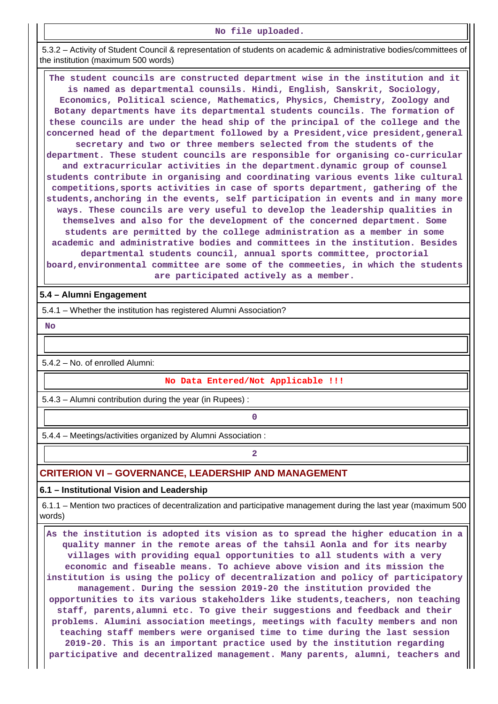#### **No file uploaded.**

 5.3.2 – Activity of Student Council & representation of students on academic & administrative bodies/committees of the institution (maximum 500 words)

 **The student councils are constructed department wise in the institution and it is named as departmental counsils. Hindi, English, Sanskrit, Sociology, Economics, Political science, Mathematics, Physics, Chemistry, Zoology and Botany departments have its departmental students councils. The formation of these councils are under the head ship of the principal of the college and the** concerned head of the department followed by a President, vice president, general **secretary and two or three members selected from the students of the department. These student councils are responsible for organising co-curricular and extracurricular activities in the department.dynamic group of counsel students contribute in organising and coordinating various events like cultural competitions,sports activities in case of sports department, gathering of the students,anchoring in the events, self participation in events and in many more ways. These councils are very useful to develop the leadership qualities in themselves and also for the development of the concerned department. Some students are permitted by the college administration as a member in some academic and administrative bodies and committees in the institution. Besides departmental students council, annual sports committee, proctorial board,environmental committee are some of the commeeties, in which the students are participated actively as a member.**

#### **5.4 – Alumni Engagement**

5.4.1 – Whether the institution has registered Alumni Association?

 **No**

5.4.2 – No. of enrolled Alumni:

#### **No Data Entered/Not Applicable !!!**

5.4.3 – Alumni contribution during the year (in Rupees) :

**0**

5.4.4 – Meetings/activities organized by Alumni Association :

## **2**

# **CRITERION VI – GOVERNANCE, LEADERSHIP AND MANAGEMENT**

#### **6.1 – Institutional Vision and Leadership**

 6.1.1 – Mention two practices of decentralization and participative management during the last year (maximum 500 words)

 **As the institution is adopted its vision as to spread the higher education in a quality manner in the remote areas of the tahsil Aonla and for its nearby villages with providing equal opportunities to all students with a very economic and fiseable means. To achieve above vision and its mission the institution is using the policy of decentralization and policy of participatory management. During the session 2019-20 the institution provided the opportunities to its various stakeholders like students,teachers, non teaching staff, parents,alumni etc. To give their suggestions and feedback and their problems. Alumini association meetings, meetings with faculty members and non teaching staff members were organised time to time during the last session 2019-20. This is an important practice used by the institution regarding participative and decentralized management. Many parents, alumni, teachers and**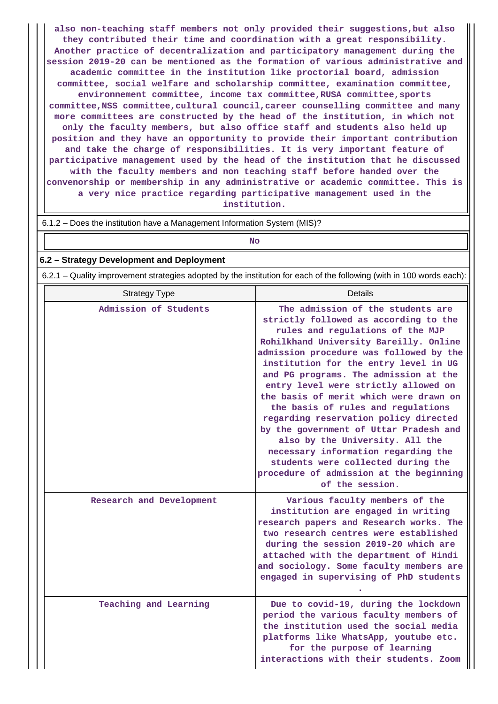**also non-teaching staff members not only provided their suggestions,but also they contributed their time and coordination with a great responsibility. Another practice of decentralization and participatory management during the session 2019-20 can be mentioned as the formation of various administrative and academic committee in the institution like proctorial board, admission committee, social welfare and scholarship committee, examination committee, environnement committee, income tax committee,RUSA committee,sports committee,NSS committee,cultural council,career counselling committee and many more committees are constructed by the head of the institution, in which not only the faculty members, but also office staff and students also held up position and they have an opportunity to provide their important contribution and take the charge of responsibilities. It is very important feature of participative management used by the head of the institution that he discussed with the faculty members and non teaching staff before handed over the convenorship or membership in any administrative or academic committee. This is a very nice practice regarding participative management used in the institution.**

| 6.1.2 – Does the institution have a Management Information System (MIS)? |  |
|--------------------------------------------------------------------------|--|
| No                                                                       |  |

#### **6.2 – Strategy Development and Deployment**

6.2.1 – Quality improvement strategies adopted by the institution for each of the following (with in 100 words each):

| <b>Strategy Type</b>     | <b>Details</b>                                                                                                                                                                                                                                                                                                                                                                                                                                                                                                                                                                                                                                                                 |
|--------------------------|--------------------------------------------------------------------------------------------------------------------------------------------------------------------------------------------------------------------------------------------------------------------------------------------------------------------------------------------------------------------------------------------------------------------------------------------------------------------------------------------------------------------------------------------------------------------------------------------------------------------------------------------------------------------------------|
| Admission of Students    | The admission of the students are<br>strictly followed as according to the<br>rules and regulations of the MJP<br>Rohilkhand University Bareilly. Online<br>admission procedure was followed by the<br>institution for the entry level in UG<br>and PG programs. The admission at the<br>entry level were strictly allowed on<br>the basis of merit which were drawn on<br>the basis of rules and regulations<br>regarding reservation policy directed<br>by the government of Uttar Pradesh and<br>also by the University. All the<br>necessary information regarding the<br>students were collected during the<br>procedure of admission at the beginning<br>of the session. |
| Research and Development | Various faculty members of the<br>institution are engaged in writing<br>research papers and Research works. The<br>two research centres were established<br>during the session 2019-20 which are<br>attached with the department of Hindi<br>and sociology. Some faculty members are<br>engaged in supervising of PhD students                                                                                                                                                                                                                                                                                                                                                 |
| Teaching and Learning    | Due to covid-19, during the lockdown<br>period the various faculty members of<br>the institution used the social media<br>platforms like WhatsApp, youtube etc.<br>for the purpose of learning<br>interactions with their students. Zoom                                                                                                                                                                                                                                                                                                                                                                                                                                       |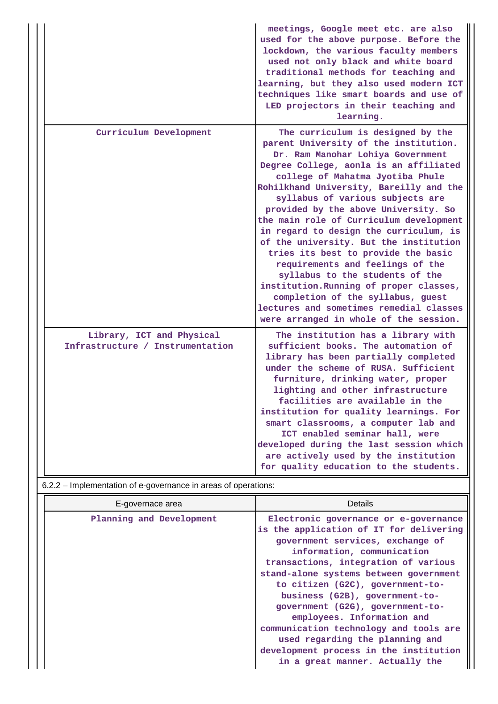|                                                               | meetings, Google meet etc. are also<br>used for the above purpose. Before the<br>lockdown, the various faculty members<br>used not only black and white board<br>traditional methods for teaching and<br>learning, but they also used modern ICT<br>techniques like smart boards and use of<br>LED projectors in their teaching and<br>learning.                                                                                                                                                                                                                                                                                                                                                                                       |
|---------------------------------------------------------------|----------------------------------------------------------------------------------------------------------------------------------------------------------------------------------------------------------------------------------------------------------------------------------------------------------------------------------------------------------------------------------------------------------------------------------------------------------------------------------------------------------------------------------------------------------------------------------------------------------------------------------------------------------------------------------------------------------------------------------------|
| Curriculum Development                                        | The curriculum is designed by the<br>parent University of the institution.<br>Dr. Ram Manohar Lohiya Government<br>Degree College, aonla is an affiliated<br>college of Mahatma Jyotiba Phule<br>Rohilkhand University, Bareilly and the<br>syllabus of various subjects are<br>provided by the above University. So<br>the main role of Curriculum development<br>in regard to design the curriculum, is<br>of the university. But the institution<br>tries its best to provide the basic<br>requirements and feelings of the<br>syllabus to the students of the<br>institution. Running of proper classes,<br>completion of the syllabus, guest<br>lectures and sometimes remedial classes<br>were arranged in whole of the session. |
| Library, ICT and Physical<br>Infrastructure / Instrumentation | The institution has a library with<br>sufficient books. The automation of<br>library has been partially completed<br>under the scheme of RUSA. Sufficient<br>furniture, drinking water, proper<br>lighting and other infrastructure<br>facilities are available in the<br>institution for quality learnings. For<br>smart classrooms, a computer lab and<br>ICT enabled seminar hall, were<br>developed during the last session which<br>are actively used by the institution<br>for quality education to the students.                                                                                                                                                                                                                |

# 6.2.2 – Implementation of e-governance in areas of operations:

| E-governace area         | Details                                                                                                                                                                                                                                                                                                                                                                                                                                                                                                                                |
|--------------------------|----------------------------------------------------------------------------------------------------------------------------------------------------------------------------------------------------------------------------------------------------------------------------------------------------------------------------------------------------------------------------------------------------------------------------------------------------------------------------------------------------------------------------------------|
| Planning and Development | Electronic governance or e-governance<br>is the application of IT for delivering<br>government services, exchange of<br>information, communication<br>transactions, integration of various<br>stand-alone systems between government<br>to citizen (G2C), government-to-<br>business (G2B), government-to-<br>government (G2G), government-to-<br>employees. Information and<br>communication technology and tools are<br>used regarding the planning and<br>development process in the institution<br>in a great manner. Actually the |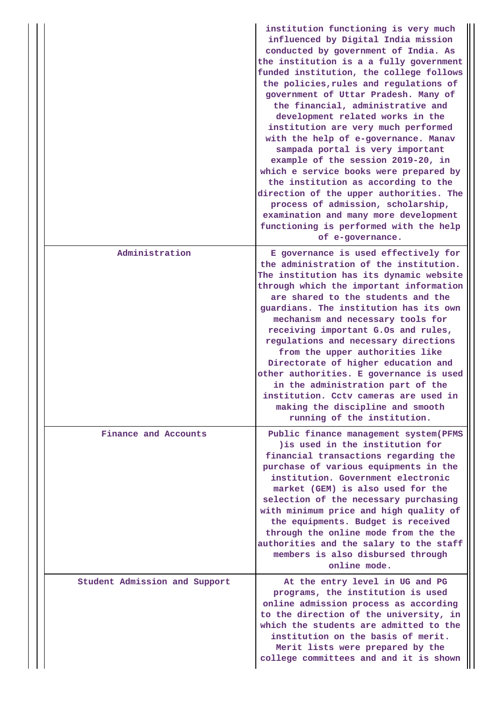|                               | institution functioning is very much<br>influenced by Digital India mission<br>conducted by government of India. As<br>the institution is a a fully government<br>funded institution, the college follows<br>the policies, rules and regulations of<br>government of Uttar Pradesh. Many of<br>the financial, administrative and<br>development related works in the<br>institution are very much performed<br>with the help of e-governance. Manav<br>sampada portal is very important<br>example of the session 2019-20, in<br>which e service books were prepared by<br>the institution as according to the<br>direction of the upper authorities. The<br>process of admission, scholarship,<br>examination and many more development<br>functioning is performed with the help<br>of e-governance. |
|-------------------------------|--------------------------------------------------------------------------------------------------------------------------------------------------------------------------------------------------------------------------------------------------------------------------------------------------------------------------------------------------------------------------------------------------------------------------------------------------------------------------------------------------------------------------------------------------------------------------------------------------------------------------------------------------------------------------------------------------------------------------------------------------------------------------------------------------------|
| Administration                | E governance is used effectively for<br>the administration of the institution.<br>The institution has its dynamic website<br>through which the important information<br>are shared to the students and the<br>guardians. The institution has its own<br>mechanism and necessary tools for<br>receiving important G.Os and rules,<br>regulations and necessary directions<br>from the upper authorities like<br>Directorate of higher education and<br>other authorities. E governance is used<br>in the administration part of the<br>institution. Cctv cameras are used in<br>making the discipline and smooth<br>running of the institution.                                                                                                                                                         |
| Finance and Accounts          | Public finance management system (PFMS<br>) is used in the institution for<br>financial transactions regarding the<br>purchase of various equipments in the<br>institution. Government electronic<br>market (GEM) is also used for the<br>selection of the necessary purchasing<br>with minimum price and high quality of<br>the equipments. Budget is received<br>through the online mode from the the<br>authorities and the salary to the staff<br>members is also disbursed through<br>online mode.                                                                                                                                                                                                                                                                                                |
| Student Admission and Support | At the entry level in UG and PG<br>programs, the institution is used<br>online admission process as according<br>to the direction of the university, in<br>which the students are admitted to the<br>institution on the basis of merit.<br>Merit lists were prepared by the<br>college committees and and it is shown                                                                                                                                                                                                                                                                                                                                                                                                                                                                                  |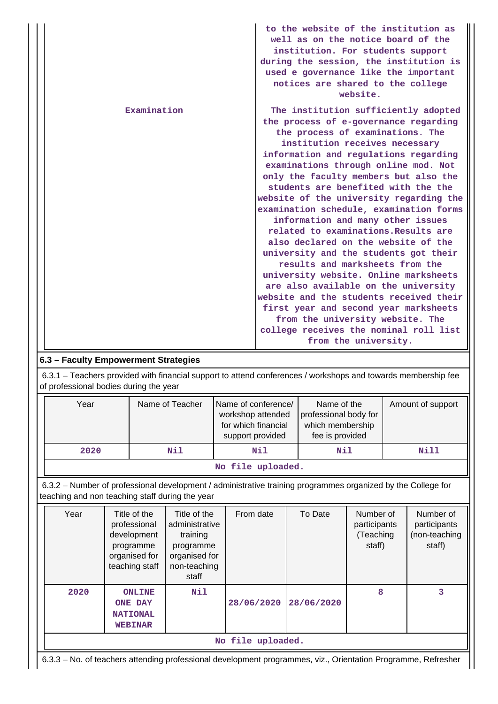|                                                                                                                                                         | to the website of the institution as<br>well as on the notice board of the<br>institution. For students support<br>during the session, the institution is<br>used e governance like the important<br>notices are shared to the college<br>website.                                                                                                                                                                                                                                                                                                                                                                                                                                                                                                                                                                                                                                    |  |  |  |
|---------------------------------------------------------------------------------------------------------------------------------------------------------|---------------------------------------------------------------------------------------------------------------------------------------------------------------------------------------------------------------------------------------------------------------------------------------------------------------------------------------------------------------------------------------------------------------------------------------------------------------------------------------------------------------------------------------------------------------------------------------------------------------------------------------------------------------------------------------------------------------------------------------------------------------------------------------------------------------------------------------------------------------------------------------|--|--|--|
| Examination                                                                                                                                             | The institution sufficiently adopted<br>the process of e-governance regarding<br>the process of examinations. The<br>institution receives necessary<br>information and regulations regarding<br>examinations through online mod. Not<br>only the faculty members but also the<br>students are benefited with the the<br>website of the university regarding the<br>examination schedule, examination forms<br>information and many other issues<br>related to examinations. Results are<br>also declared on the website of the<br>university and the students got their<br>results and marksheets from the<br>university website. Online marksheets<br>are also available on the university<br>website and the students received their<br>first year and second year marksheets<br>from the university website. The<br>college receives the nominal roll list<br>from the university. |  |  |  |
| 6.3 - Faculty Empowerment Strategies                                                                                                                    |                                                                                                                                                                                                                                                                                                                                                                                                                                                                                                                                                                                                                                                                                                                                                                                                                                                                                       |  |  |  |
| 6.3.1 – Teachers provided with financial support to attend conferences / workshops and towards membership fee<br>of professional bodies during the year |                                                                                                                                                                                                                                                                                                                                                                                                                                                                                                                                                                                                                                                                                                                                                                                                                                                                                       |  |  |  |

| Year              | Name of Teacher | Name of conference/<br>workshop attended<br>for which financial<br>support provided | Name of the<br>professional body for<br>which membership<br>fee is provided | Amount of support |  |  |  |  |
|-------------------|-----------------|-------------------------------------------------------------------------------------|-----------------------------------------------------------------------------|-------------------|--|--|--|--|
| 2020              | Nil             | Nil                                                                                 | Nil                                                                         | Nill              |  |  |  |  |
| No file uploaded. |                 |                                                                                     |                                                                             |                   |  |  |  |  |

 6.3.2 – Number of professional development / administrative training programmes organized by the College for teaching and non teaching staff during the year

| Year              | Title of the<br>professional<br>development<br>programme<br>organised for<br>teaching staff | Title of the<br>administrative<br>training<br>programme<br>organised for<br>non-teaching<br>staff | From date  | To Date    | Number of<br>participants<br>(Teaching<br>staff) | Number of<br>participants<br>(non-teaching<br>staff) |  |
|-------------------|---------------------------------------------------------------------------------------------|---------------------------------------------------------------------------------------------------|------------|------------|--------------------------------------------------|------------------------------------------------------|--|
| 2020              | <b>ONLINE</b><br><b>ONE DAY</b><br><b>NATIONAL</b><br><b>WEBINAR</b>                        | Nil                                                                                               | 28/06/2020 | 28/06/2020 | 8                                                | 3                                                    |  |
| No file uploaded. |                                                                                             |                                                                                                   |            |            |                                                  |                                                      |  |

6.3.3 – No. of teachers attending professional development programmes, viz., Orientation Programme, Refresher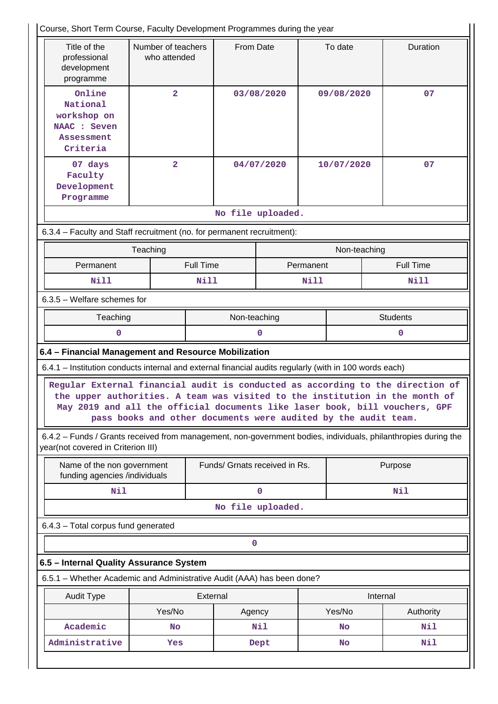| To date<br>Duration<br>Title of the<br>Number of teachers<br>From Date<br>professional<br>who attended<br>development<br>programme<br>Online<br>$\overline{2}$<br>09/08/2020<br>07<br>03/08/2020<br>National<br>workshop on<br>NAAC : Seven<br><b>Assessment</b><br>Criteria<br>$\overline{2}$<br>04/07/2020<br>10/07/2020<br>07<br>07 days<br>Faculty<br>Development<br>Programme<br>No file uploaded.<br>6.3.4 - Faculty and Staff recruitment (no. for permanent recruitment):<br>Teaching<br>Non-teaching<br><b>Full Time</b><br>Permanent<br><b>Full Time</b><br>Permanent<br>Nill<br>Nill<br><b>Nill</b><br>Nill<br>$6.3.5$ – Welfare schemes for<br>Teaching<br>Non-teaching<br><b>Students</b><br>0<br>0<br>0<br>6.4 - Financial Management and Resource Mobilization<br>6.4.1 - Institution conducts internal and external financial audits regularly (with in 100 words each)<br>Regular External financial audit is conducted as according to the direction of<br>the upper authorities. A team was visited to the institution in the month of<br>May 2019 and all the official documents like laser book, bill vouchers, GPF<br>pass books and other documents were audited by the audit team.<br>6.4.2 - Funds / Grants received from management, non-government bodies, individuals, philanthropies during the<br>year(not covered in Criterion III)<br>Funds/ Grnats received in Rs.<br>Name of the non government<br>Purpose<br>funding agencies /individuals<br>Nil<br>0<br>Nil<br>No file uploaded.<br>6.4.3 - Total corpus fund generated<br>0<br>6.5 - Internal Quality Assurance System<br>6.5.1 - Whether Academic and Administrative Audit (AAA) has been done?<br>External<br>Internal<br><b>Audit Type</b><br>Yes/No<br>Yes/No<br>Authority<br>Agency | Course, Short Term Course, Faculty Development Programmes during the year |    |  |     |  |    |     |
|--------------------------------------------------------------------------------------------------------------------------------------------------------------------------------------------------------------------------------------------------------------------------------------------------------------------------------------------------------------------------------------------------------------------------------------------------------------------------------------------------------------------------------------------------------------------------------------------------------------------------------------------------------------------------------------------------------------------------------------------------------------------------------------------------------------------------------------------------------------------------------------------------------------------------------------------------------------------------------------------------------------------------------------------------------------------------------------------------------------------------------------------------------------------------------------------------------------------------------------------------------------------------------------------------------------------------------------------------------------------------------------------------------------------------------------------------------------------------------------------------------------------------------------------------------------------------------------------------------------------------------------------------------------------------------------------------------------------------------------------------------------------------------|---------------------------------------------------------------------------|----|--|-----|--|----|-----|
|                                                                                                                                                                                                                                                                                                                                                                                                                                                                                                                                                                                                                                                                                                                                                                                                                                                                                                                                                                                                                                                                                                                                                                                                                                                                                                                                                                                                                                                                                                                                                                                                                                                                                                                                                                                |                                                                           |    |  |     |  |    |     |
|                                                                                                                                                                                                                                                                                                                                                                                                                                                                                                                                                                                                                                                                                                                                                                                                                                                                                                                                                                                                                                                                                                                                                                                                                                                                                                                                                                                                                                                                                                                                                                                                                                                                                                                                                                                |                                                                           |    |  |     |  |    |     |
|                                                                                                                                                                                                                                                                                                                                                                                                                                                                                                                                                                                                                                                                                                                                                                                                                                                                                                                                                                                                                                                                                                                                                                                                                                                                                                                                                                                                                                                                                                                                                                                                                                                                                                                                                                                |                                                                           |    |  |     |  |    |     |
|                                                                                                                                                                                                                                                                                                                                                                                                                                                                                                                                                                                                                                                                                                                                                                                                                                                                                                                                                                                                                                                                                                                                                                                                                                                                                                                                                                                                                                                                                                                                                                                                                                                                                                                                                                                |                                                                           |    |  |     |  |    |     |
|                                                                                                                                                                                                                                                                                                                                                                                                                                                                                                                                                                                                                                                                                                                                                                                                                                                                                                                                                                                                                                                                                                                                                                                                                                                                                                                                                                                                                                                                                                                                                                                                                                                                                                                                                                                |                                                                           |    |  |     |  |    |     |
|                                                                                                                                                                                                                                                                                                                                                                                                                                                                                                                                                                                                                                                                                                                                                                                                                                                                                                                                                                                                                                                                                                                                                                                                                                                                                                                                                                                                                                                                                                                                                                                                                                                                                                                                                                                |                                                                           |    |  |     |  |    |     |
|                                                                                                                                                                                                                                                                                                                                                                                                                                                                                                                                                                                                                                                                                                                                                                                                                                                                                                                                                                                                                                                                                                                                                                                                                                                                                                                                                                                                                                                                                                                                                                                                                                                                                                                                                                                |                                                                           |    |  |     |  |    |     |
|                                                                                                                                                                                                                                                                                                                                                                                                                                                                                                                                                                                                                                                                                                                                                                                                                                                                                                                                                                                                                                                                                                                                                                                                                                                                                                                                                                                                                                                                                                                                                                                                                                                                                                                                                                                |                                                                           |    |  |     |  |    |     |
|                                                                                                                                                                                                                                                                                                                                                                                                                                                                                                                                                                                                                                                                                                                                                                                                                                                                                                                                                                                                                                                                                                                                                                                                                                                                                                                                                                                                                                                                                                                                                                                                                                                                                                                                                                                |                                                                           |    |  |     |  |    |     |
|                                                                                                                                                                                                                                                                                                                                                                                                                                                                                                                                                                                                                                                                                                                                                                                                                                                                                                                                                                                                                                                                                                                                                                                                                                                                                                                                                                                                                                                                                                                                                                                                                                                                                                                                                                                |                                                                           |    |  |     |  |    |     |
|                                                                                                                                                                                                                                                                                                                                                                                                                                                                                                                                                                                                                                                                                                                                                                                                                                                                                                                                                                                                                                                                                                                                                                                                                                                                                                                                                                                                                                                                                                                                                                                                                                                                                                                                                                                |                                                                           |    |  |     |  |    |     |
|                                                                                                                                                                                                                                                                                                                                                                                                                                                                                                                                                                                                                                                                                                                                                                                                                                                                                                                                                                                                                                                                                                                                                                                                                                                                                                                                                                                                                                                                                                                                                                                                                                                                                                                                                                                |                                                                           |    |  |     |  |    |     |
|                                                                                                                                                                                                                                                                                                                                                                                                                                                                                                                                                                                                                                                                                                                                                                                                                                                                                                                                                                                                                                                                                                                                                                                                                                                                                                                                                                                                                                                                                                                                                                                                                                                                                                                                                                                |                                                                           |    |  |     |  |    |     |
|                                                                                                                                                                                                                                                                                                                                                                                                                                                                                                                                                                                                                                                                                                                                                                                                                                                                                                                                                                                                                                                                                                                                                                                                                                                                                                                                                                                                                                                                                                                                                                                                                                                                                                                                                                                |                                                                           |    |  |     |  |    |     |
|                                                                                                                                                                                                                                                                                                                                                                                                                                                                                                                                                                                                                                                                                                                                                                                                                                                                                                                                                                                                                                                                                                                                                                                                                                                                                                                                                                                                                                                                                                                                                                                                                                                                                                                                                                                |                                                                           |    |  |     |  |    |     |
|                                                                                                                                                                                                                                                                                                                                                                                                                                                                                                                                                                                                                                                                                                                                                                                                                                                                                                                                                                                                                                                                                                                                                                                                                                                                                                                                                                                                                                                                                                                                                                                                                                                                                                                                                                                |                                                                           |    |  |     |  |    |     |
|                                                                                                                                                                                                                                                                                                                                                                                                                                                                                                                                                                                                                                                                                                                                                                                                                                                                                                                                                                                                                                                                                                                                                                                                                                                                                                                                                                                                                                                                                                                                                                                                                                                                                                                                                                                |                                                                           |    |  |     |  |    |     |
|                                                                                                                                                                                                                                                                                                                                                                                                                                                                                                                                                                                                                                                                                                                                                                                                                                                                                                                                                                                                                                                                                                                                                                                                                                                                                                                                                                                                                                                                                                                                                                                                                                                                                                                                                                                |                                                                           |    |  |     |  |    |     |
|                                                                                                                                                                                                                                                                                                                                                                                                                                                                                                                                                                                                                                                                                                                                                                                                                                                                                                                                                                                                                                                                                                                                                                                                                                                                                                                                                                                                                                                                                                                                                                                                                                                                                                                                                                                |                                                                           |    |  |     |  |    |     |
|                                                                                                                                                                                                                                                                                                                                                                                                                                                                                                                                                                                                                                                                                                                                                                                                                                                                                                                                                                                                                                                                                                                                                                                                                                                                                                                                                                                                                                                                                                                                                                                                                                                                                                                                                                                |                                                                           |    |  |     |  |    |     |
|                                                                                                                                                                                                                                                                                                                                                                                                                                                                                                                                                                                                                                                                                                                                                                                                                                                                                                                                                                                                                                                                                                                                                                                                                                                                                                                                                                                                                                                                                                                                                                                                                                                                                                                                                                                |                                                                           |    |  |     |  |    |     |
|                                                                                                                                                                                                                                                                                                                                                                                                                                                                                                                                                                                                                                                                                                                                                                                                                                                                                                                                                                                                                                                                                                                                                                                                                                                                                                                                                                                                                                                                                                                                                                                                                                                                                                                                                                                |                                                                           |    |  |     |  |    |     |
|                                                                                                                                                                                                                                                                                                                                                                                                                                                                                                                                                                                                                                                                                                                                                                                                                                                                                                                                                                                                                                                                                                                                                                                                                                                                                                                                                                                                                                                                                                                                                                                                                                                                                                                                                                                |                                                                           |    |  |     |  |    |     |
|                                                                                                                                                                                                                                                                                                                                                                                                                                                                                                                                                                                                                                                                                                                                                                                                                                                                                                                                                                                                                                                                                                                                                                                                                                                                                                                                                                                                                                                                                                                                                                                                                                                                                                                                                                                |                                                                           |    |  |     |  |    |     |
|                                                                                                                                                                                                                                                                                                                                                                                                                                                                                                                                                                                                                                                                                                                                                                                                                                                                                                                                                                                                                                                                                                                                                                                                                                                                                                                                                                                                                                                                                                                                                                                                                                                                                                                                                                                | Academic                                                                  | No |  | Nil |  | No | Nil |
| Administrative<br>Nil<br>Yes<br>Dept<br>No                                                                                                                                                                                                                                                                                                                                                                                                                                                                                                                                                                                                                                                                                                                                                                                                                                                                                                                                                                                                                                                                                                                                                                                                                                                                                                                                                                                                                                                                                                                                                                                                                                                                                                                                     |                                                                           |    |  |     |  |    |     |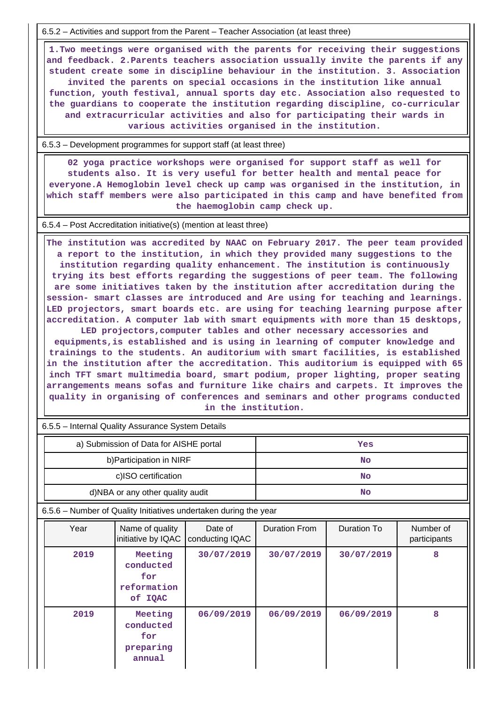6.5.2 – Activities and support from the Parent – Teacher Association (at least three)

 **1.Two meetings were organised with the parents for receiving their suggestions and feedback. 2.Parents teachers association ussually invite the parents if any student create some in discipline behaviour in the institution. 3. Association invited the parents on special occasions in the institution like annual function, youth festival, annual sports day etc. Association also requested to the guardians to cooperate the institution regarding discipline, co-curricular and extracurricular activities and also for participating their wards in various activities organised in the institution.**

6.5.3 – Development programmes for support staff (at least three)

 **02 yoga practice workshops were organised for support staff as well for students also. It is very useful for better health and mental peace for everyone.A Hemoglobin level check up camp was organised in the institution, in which staff members were also participated in this camp and have benefited from the haemoglobin camp check up.**

6.5.4 – Post Accreditation initiative(s) (mention at least three)

 **The institution was accredited by NAAC on February 2017. The peer team provided a report to the institution, in which they provided many suggestions to the institution regarding quality enhancement. The institution is continuously trying its best efforts regarding the suggestions of peer team. The following are some initiatives taken by the institution after accreditation during the session- smart classes are introduced and Are using for teaching and learnings. LED projectors, smart boards etc. are using for teaching learning purpose after accreditation. A computer lab with smart equipments with more than 15 desktops,**

**LED projectors,computer tables and other necessary accessories and equipments,is established and is using in learning of computer knowledge and trainings to the students. An auditorium with smart facilities, is established in the institution after the accreditation. This auditorium is equipped with 65 inch TFT smart multimedia board, smart podium, proper lighting, proper seating arrangements means sofas and furniture like chairs and carpets. It improves the quality in organising of conferences and seminars and other programs conducted in the institution.**

6.5.5 – Internal Quality Assurance System Details

| a) Submission of Data for AISHE portal | Yes |
|----------------------------------------|-----|
| b) Participation in NIRF               | No  |
| c)ISO certification                    | No  |
| d)NBA or any other quality audit       | No  |

6.5.6 – Number of Quality Initiatives undertaken during the year

| Year | Name of quality<br>initiative by IQAC                 | Date of<br>conducting IQAC | <b>Duration From</b> | Duration To | Number of<br>participants |  |
|------|-------------------------------------------------------|----------------------------|----------------------|-------------|---------------------------|--|
| 2019 | Meeting<br>conducted<br>for<br>reformation<br>of IQAC | 30/07/2019                 | 30/07/2019           | 30/07/2019  | 8                         |  |
| 2019 | Meeting<br>conducted<br>for<br>preparing<br>annual    | 06/09/2019                 | 06/09/2019           | 06/09/2019  | 8                         |  |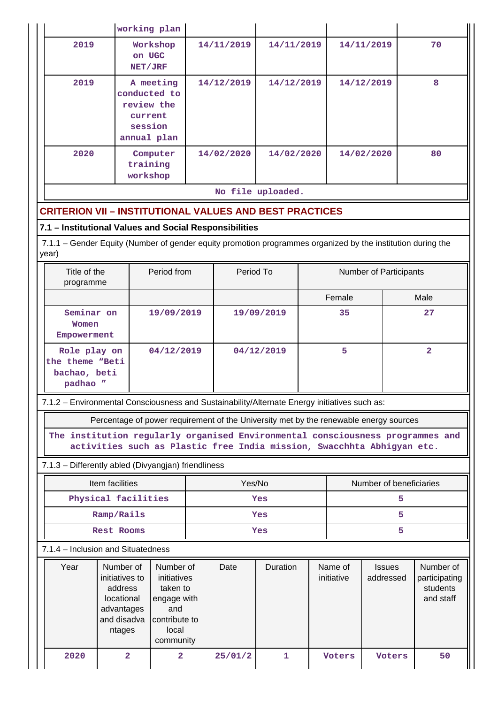|                                                                                                                      | working plan                                                                                                                                                                                     |                         |            |            |                   |                        |                         |                            |      |                                                     |  |
|----------------------------------------------------------------------------------------------------------------------|--------------------------------------------------------------------------------------------------------------------------------------------------------------------------------------------------|-------------------------|------------|------------|-------------------|------------------------|-------------------------|----------------------------|------|-----------------------------------------------------|--|
| 2019                                                                                                                 | Workshop<br>on UGC<br>NET/JRF                                                                                                                                                                    |                         | 14/11/2019 |            | 14/11/2019        |                        | 14/11/2019              |                            | 70   |                                                     |  |
| 2019                                                                                                                 | A meeting<br>conducted to<br>review the<br>current<br>session<br>annual plan                                                                                                                     |                         | 14/12/2019 |            | 14/12/2019        |                        |                         | 14/12/2019                 |      | 8                                                   |  |
| 2020                                                                                                                 | training<br>workshop                                                                                                                                                                             | Computer                |            | 14/02/2020 | 14/02/2020        |                        |                         | 14/02/2020                 | 80   |                                                     |  |
|                                                                                                                      |                                                                                                                                                                                                  |                         |            |            | No file uploaded. |                        |                         |                            |      |                                                     |  |
| <b>CRITERION VII - INSTITUTIONAL VALUES AND BEST PRACTICES</b>                                                       |                                                                                                                                                                                                  |                         |            |            |                   |                        |                         |                            |      |                                                     |  |
| 7.1 - Institutional Values and Social Responsibilities                                                               |                                                                                                                                                                                                  |                         |            |            |                   |                        |                         |                            |      |                                                     |  |
| 7.1.1 - Gender Equity (Number of gender equity promotion programmes organized by the institution during the<br>year) |                                                                                                                                                                                                  |                         |            |            |                   |                        |                         |                            |      |                                                     |  |
| Title of the<br>programme                                                                                            |                                                                                                                                                                                                  | Period from             |            | Period To  |                   | Number of Participants |                         |                            |      |                                                     |  |
|                                                                                                                      |                                                                                                                                                                                                  |                         |            |            |                   | Female                 |                         |                            | Male |                                                     |  |
| Women                                                                                                                | Seminar on<br>19/09/2019<br>Empowerment                                                                                                                                                          |                         |            | 19/09/2019 |                   |                        | 35                      |                            |      | 27                                                  |  |
| padhao "                                                                                                             | Role play on<br>04/12/2019<br>the theme "Beti<br>bachao, beti                                                                                                                                    |                         |            | 04/12/2019 |                   |                        | 5                       |                            |      | $\overline{a}$                                      |  |
| 7.1.2 - Environmental Consciousness and Sustainability/Alternate Energy initiatives such as:                         |                                                                                                                                                                                                  |                         |            |            |                   |                        |                         |                            |      |                                                     |  |
|                                                                                                                      | Percentage of power requirement of the University met by the renewable energy sources                                                                                                            |                         |            |            |                   |                        |                         |                            |      |                                                     |  |
| The institution regularly organised Environmental consciousness programmes and                                       | activities such as Plastic free India mission, Swacchhta Abhigyan etc.                                                                                                                           |                         |            |            |                   |                        |                         |                            |      |                                                     |  |
| 7.1.3 - Differently abled (Divyangjan) friendliness                                                                  |                                                                                                                                                                                                  |                         |            |            |                   |                        |                         |                            |      |                                                     |  |
|                                                                                                                      | Item facilities                                                                                                                                                                                  |                         |            | Yes/No     |                   |                        | Number of beneficiaries |                            |      |                                                     |  |
|                                                                                                                      | Physical facilities                                                                                                                                                                              |                         |            | Yes        |                   |                        | 5                       |                            |      |                                                     |  |
| Ramp/Rails                                                                                                           |                                                                                                                                                                                                  |                         |            | Yes        |                   |                        | 5.                      |                            |      |                                                     |  |
|                                                                                                                      | <b>Rest Rooms</b>                                                                                                                                                                                |                         |            | Yes        | 5                 |                        |                         |                            |      |                                                     |  |
| 7.1.4 - Inclusion and Situatedness                                                                                   |                                                                                                                                                                                                  |                         |            |            |                   |                        |                         |                            |      |                                                     |  |
| Year                                                                                                                 | Number of<br>Number of<br>initiatives to<br>initiatives<br>address<br>taken to<br>locational<br>engage with<br>advantages<br>and<br>and disadva<br>contribute to<br>local<br>ntages<br>community |                         |            | Date       | Duration          |                        | Name of<br>initiative   | <b>Issues</b><br>addressed |      | Number of<br>participating<br>students<br>and staff |  |
| 2020                                                                                                                 | $\overline{a}$                                                                                                                                                                                   | $\overline{\mathbf{2}}$ |            | 25/01/2    | $\mathbf{1}$      |                        | Voters                  | Voters                     |      | 50                                                  |  |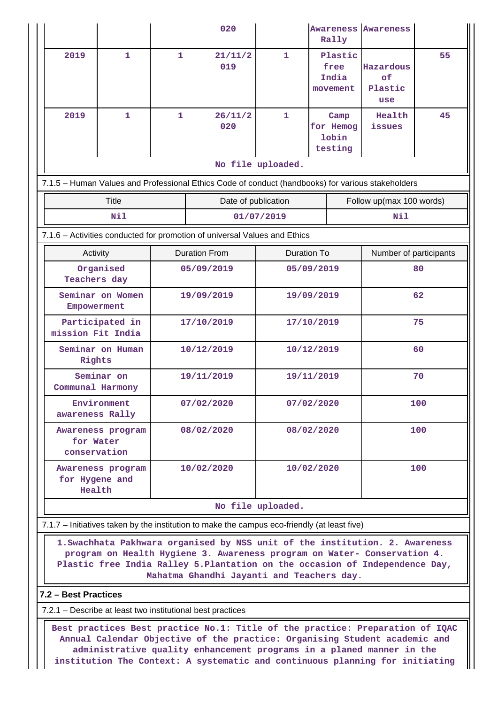|                                                                                                                                                                                                                                                                                       |                                                              |              |                | 020                  |              | <b>Awareness Awareness</b><br>Rally   |                        |                                   |    |  |  |
|---------------------------------------------------------------------------------------------------------------------------------------------------------------------------------------------------------------------------------------------------------------------------------------|--------------------------------------------------------------|--------------|----------------|----------------------|--------------|---------------------------------------|------------------------|-----------------------------------|----|--|--|
| 2019                                                                                                                                                                                                                                                                                  | $\mathbf{1}$                                                 | $\mathbf{1}$ | 21/11/2<br>019 |                      | $\mathbf{1}$ | Plastic<br>free<br>India<br>movement  |                        | Hazardous<br>оf<br>Plastic<br>use | 55 |  |  |
| 2019                                                                                                                                                                                                                                                                                  | $\mathbf{1}$                                                 | 1            |                | 26/11/2<br>020       | $\mathbf{1}$ | Camp<br>for Hemog<br>lobin<br>testing |                        | Health<br>issues                  | 45 |  |  |
|                                                                                                                                                                                                                                                                                       | No file uploaded.                                            |              |                |                      |              |                                       |                        |                                   |    |  |  |
| 7.1.5 - Human Values and Professional Ethics Code of conduct (handbooks) for various stakeholders                                                                                                                                                                                     |                                                              |              |                |                      |              |                                       |                        |                                   |    |  |  |
|                                                                                                                                                                                                                                                                                       | <b>Title</b>                                                 |              |                | Date of publication  |              |                                       |                        | Follow up(max 100 words)          |    |  |  |
|                                                                                                                                                                                                                                                                                       | Nil                                                          |              |                |                      | 01/07/2019   |                                       |                        | Nil                               |    |  |  |
| 7.1.6 - Activities conducted for promotion of universal Values and Ethics                                                                                                                                                                                                             |                                                              |              |                |                      |              |                                       |                        |                                   |    |  |  |
| Activity                                                                                                                                                                                                                                                                              |                                                              |              |                | <b>Duration From</b> | Duration To  |                                       | Number of participants |                                   |    |  |  |
|                                                                                                                                                                                                                                                                                       | Organised<br>Teachers day                                    |              |                | 05/09/2019           |              |                                       | 05/09/2019             | 80                                |    |  |  |
|                                                                                                                                                                                                                                                                                       | Seminar on Women<br>Empowerment                              |              | 19/09/2019     |                      |              | 19/09/2019                            |                        |                                   | 62 |  |  |
|                                                                                                                                                                                                                                                                                       | Participated in<br>mission Fit India                         |              | 17/10/2019     |                      |              | 17/10/2019                            |                        |                                   | 75 |  |  |
| Seminar on Human<br>Rights                                                                                                                                                                                                                                                            |                                                              | 10/12/2019   |                |                      | 10/12/2019   |                                       |                        | 60                                |    |  |  |
| Seminar on<br>Communal Harmony                                                                                                                                                                                                                                                        | 19/11/2019                                                   |              |                | 19/11/2019           |              |                                       | 70                     |                                   |    |  |  |
| Environment<br>awareness Rally                                                                                                                                                                                                                                                        | 07/02/2020                                                   |              |                | 07/02/2020           |              |                                       | 100                    |                                   |    |  |  |
|                                                                                                                                                                                                                                                                                       | Awareness program<br>08/02/2020<br>for Water<br>conservation |              |                | 08/02/2020           |              |                                       | 100                    |                                   |    |  |  |
|                                                                                                                                                                                                                                                                                       | 10/02/2020<br>Awareness program<br>for Hygene and<br>Health  |              |                |                      | 10/02/2020   |                                       |                        | 100                               |    |  |  |
| No file uploaded.                                                                                                                                                                                                                                                                     |                                                              |              |                |                      |              |                                       |                        |                                   |    |  |  |
| 7.1.7 – Initiatives taken by the institution to make the campus eco-friendly (at least five)                                                                                                                                                                                          |                                                              |              |                |                      |              |                                       |                        |                                   |    |  |  |
| 1. Swachhata Pakhwara organised by NSS unit of the institution. 2. Awareness<br>program on Health Hygiene 3. Awareness program on Water- Conservation 4.<br>Plastic free India Ralley 5. Plantation on the occasion of Independence Day,<br>Mahatma Ghandhi Jayanti and Teachers day. |                                                              |              |                |                      |              |                                       |                        |                                   |    |  |  |
| 7.2 - Best Practices                                                                                                                                                                                                                                                                  |                                                              |              |                |                      |              |                                       |                        |                                   |    |  |  |

7.2.1 – Describe at least two institutional best practices

 **Best practices Best practice No.1: Title of the practice: Preparation of IQAC Annual Calendar Objective of the practice: Organising Student academic and administrative quality enhancement programs in a planed manner in the institution The Context: A systematic and continuous planning for initiating**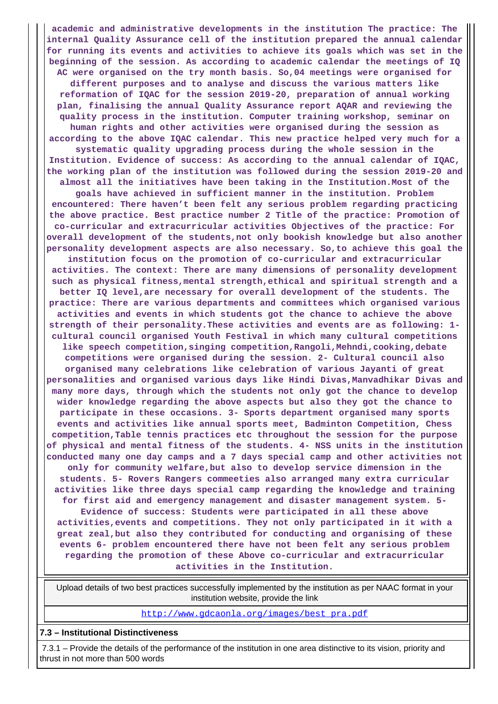**academic and administrative developments in the institution The practice: The internal Quality Assurance cell of the institution prepared the annual calendar for running its events and activities to achieve its goals which was set in the beginning of the session. As according to academic calendar the meetings of IQ AC were organised on the try month basis. So,04 meetings were organised for different purposes and to analyse and discuss the various matters like reformation of IQAC for the session 2019-20, preparation of annual working plan, finalising the annual Quality Assurance report AQAR and reviewing the quality process in the institution. Computer training workshop, seminar on human rights and other activities were organised during the session as according to the above IQAC calendar. This new practice helped very much for a systematic quality upgrading process during the whole session in the Institution. Evidence of success: As according to the annual calendar of IQAC, the working plan of the institution was followed during the session 2019-20 and almost all the initiatives have been taking in the Institution.Most of the goals have achieved in sufficient manner in the institution. Problem encountered: There haven't been felt any serious problem regarding practicing the above practice. Best practice number 2 Title of the practice: Promotion of co-curricular and extracurricular activities Objectives of the practice: For overall development of the students,not only bookish knowledge but also another personality development aspects are also necessary. So,to achieve this goal the institution focus on the promotion of co-curricular and extracurricular activities. The context: There are many dimensions of personality development such as physical fitness,mental strength,ethical and spiritual strength and a better IQ level,are necessary for overall development of the students. The practice: There are various departments and committees which organised various activities and events in which students got the chance to achieve the above strength of their personality.These activities and events are as following: 1 cultural council organised Youth Festival in which many cultural competitions like speech competition,singing competition,Rangoli,Mehndi,cooking,debate competitions were organised during the session. 2- Cultural council also organised many celebrations like celebration of various Jayanti of great personalities and organised various days like Hindi Divas,Manvadhikar Divas and many more days, through which the students not only got the chance to develop wider knowledge regarding the above aspects but also they got the chance to participate in these occasions. 3- Sports department organised many sports events and activities like annual sports meet, Badminton Competition, Chess competition,Table tennis practices etc throughout the session for the purpose of physical and mental fitness of the students. 4- NSS units in the institution conducted many one day camps and a 7 days special camp and other activities not only for community welfare,but also to develop service dimension in the students. 5- Rovers Rangers commeeties also arranged many extra curricular activities like three days special camp regarding the knowledge and training for first aid and emergency management and disaster management system. 5- Evidence of success: Students were participated in all these above activities,events and competitions. They not only participated in it with a great zeal,but also they contributed for conducting and organising of these events 6- problem encountered there have not been felt any serious problem regarding the promotion of these Above co-curricular and extracurricular**

**activities in the Institution.**

 Upload details of two best practices successfully implemented by the institution as per NAAC format in your institution website, provide the link

[http://www.gdcaonla.org/images/best\\_pra.pdf](http://www.gdcaonla.org/images/best_pra.pdf)

**7.3 – Institutional Distinctiveness**

 7.3.1 – Provide the details of the performance of the institution in one area distinctive to its vision, priority and thrust in not more than 500 words